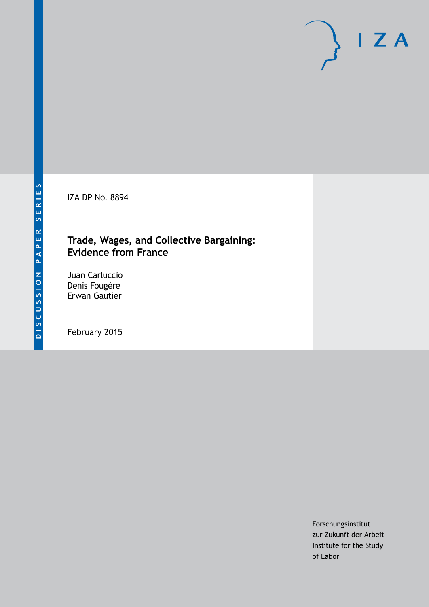IZA DP No. 8894

# **Trade, Wages, and Collective Bargaining: Evidence from France**

Juan Carluccio Denis Fougère Erwan Gautier

February 2015

Forschungsinstitut zur Zukunft der Arbeit Institute for the Study of Labor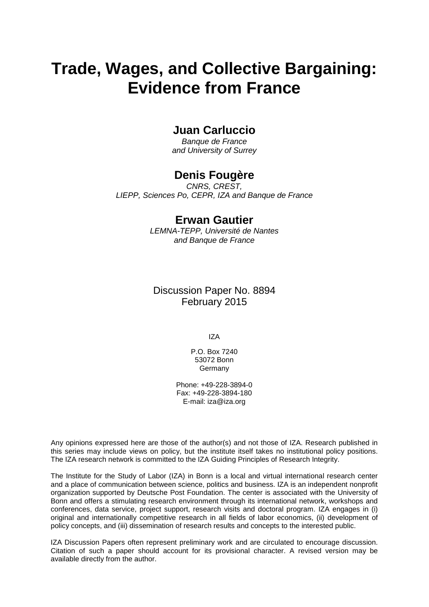# **Trade, Wages, and Collective Bargaining: Evidence from France**

# **Juan Carluccio**

*Banque de France and University of Surrey*

# **Denis Fougère**

*CNRS, CREST, LIEPP, Sciences Po, CEPR, IZA and Banque de France*

# **Erwan Gautier**

*LEMNA-TEPP, Université de Nantes and Banque de France*

Discussion Paper No. 8894 February 2015

IZA

P.O. Box 7240 53072 Bonn Germany

Phone: +49-228-3894-0 Fax: +49-228-3894-180 E-mail: [iza@iza.org](mailto:iza@iza.org)

Any opinions expressed here are those of the author(s) and not those of IZA. Research published in this series may include views on policy, but the institute itself takes no institutional policy positions. The IZA research network is committed to the IZA Guiding Principles of Research Integrity.

The Institute for the Study of Labor (IZA) in Bonn is a local and virtual international research center and a place of communication between science, politics and business. IZA is an independent nonprofit organization supported by Deutsche Post Foundation. The center is associated with the University of Bonn and offers a stimulating research environment through its international network, workshops and conferences, data service, project support, research visits and doctoral program. IZA engages in (i) original and internationally competitive research in all fields of labor economics, (ii) development of policy concepts, and (iii) dissemination of research results and concepts to the interested public.

<span id="page-1-0"></span>IZA Discussion Papers often represent preliminary work and are circulated to encourage discussion. Citation of such a paper should account for its provisional character. A revised version may be available directly from the author.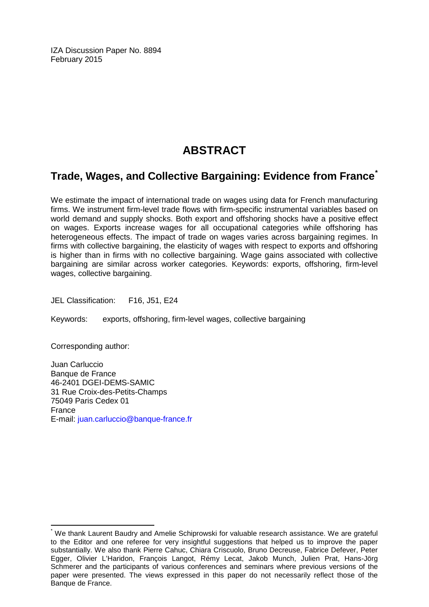IZA Discussion Paper No. 8894 February 2015

# **ABSTRACT**

# **Trade, Wages, and Collective Bargaining: Evidence from France[\\*](#page-1-0)**

We estimate the impact of international trade on wages using data for French manufacturing firms. We instrument firm-level trade flows with firm-specific instrumental variables based on world demand and supply shocks. Both export and offshoring shocks have a positive effect on wages. Exports increase wages for all occupational categories while offshoring has heterogeneous effects. The impact of trade on wages varies across bargaining regimes. In firms with collective bargaining, the elasticity of wages with respect to exports and offshoring is higher than in firms with no collective bargaining. Wage gains associated with collective bargaining are similar across worker categories. Keywords: exports, offshoring, firm-level wages, collective bargaining.

JEL Classification: F16, J51, E24

Keywords: exports, offshoring, firm-level wages, collective bargaining

Corresponding author:

Juan Carluccio Banque de France 46-2401 DGEI-DEMS-SAMIC 31 Rue Croix-des-Petits-Champs 75049 Paris Cedex 01 France E-mail: [juan.carluccio@banque-france.fr](mailto:juan.carluccio@banque-france.fr)

We thank Laurent Baudry and Amelie Schiprowski for valuable research assistance. We are grateful to the Editor and one referee for very insightful suggestions that helped us to improve the paper substantially. We also thank Pierre Cahuc, Chiara Criscuolo, Bruno Decreuse, Fabrice Defever, Peter Egger, Olivier L'Haridon, François Langot, Rémy Lecat, Jakob Munch, Julien Prat, Hans-Jörg Schmerer and the participants of various conferences and seminars where previous versions of the paper were presented. The views expressed in this paper do not necessarily reflect those of the Banque de France.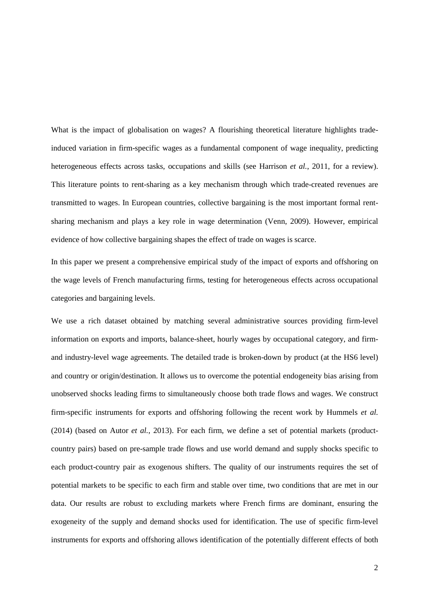What is the impact of globalisation on wages? A flourishing theoretical literature highlights tradeinduced variation in firm-specific wages as a fundamental component of wage inequality, predicting heterogeneous effects across tasks, occupations and skills (see Harrison *et al.*, 2011, for a review). This literature points to rent-sharing as a key mechanism through which trade-created revenues are transmitted to wages. In European countries, collective bargaining is the most important formal rentsharing mechanism and plays a key role in wage determination (Venn, 2009). However, empirical evidence of how collective bargaining shapes the effect of trade on wages is scarce.

In this paper we present a comprehensive empirical study of the impact of exports and offshoring on the wage levels of French manufacturing firms, testing for heterogeneous effects across occupational categories and bargaining levels.

We use a rich dataset obtained by matching several administrative sources providing firm-level information on exports and imports, balance-sheet, hourly wages by occupational category, and firmand industry-level wage agreements. The detailed trade is broken-down by product (at the HS6 level) and country or origin/destination. It allows us to overcome the potential endogeneity bias arising from unobserved shocks leading firms to simultaneously choose both trade flows and wages. We construct firm-specific instruments for exports and offshoring following the recent work by Hummels *et al.* (2014) (based on Autor *et al.*, 2013). For each firm, we define a set of potential markets (productcountry pairs) based on pre-sample trade flows and use world demand and supply shocks specific to each product-country pair as exogenous shifters. The quality of our instruments requires the set of potential markets to be specific to each firm and stable over time, two conditions that are met in our data. Our results are robust to excluding markets where French firms are dominant, ensuring the exogeneity of the supply and demand shocks used for identification. The use of specific firm-level instruments for exports and offshoring allows identification of the potentially different effects of both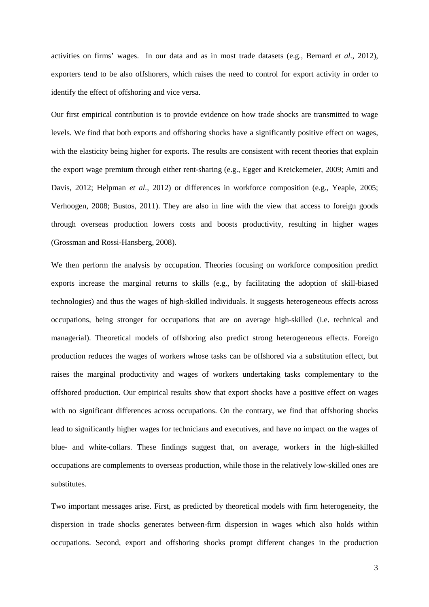activities on firms' wages. In our data and as in most trade datasets (e.g., Bernard *et al.*, 2012), exporters tend to be also offshorers, which raises the need to control for export activity in order to identify the effect of offshoring and vice versa.

Our first empirical contribution is to provide evidence on how trade shocks are transmitted to wage levels. We find that both exports and offshoring shocks have a significantly positive effect on wages, with the elasticity being higher for exports. The results are consistent with recent theories that explain the export wage premium through either rent-sharing (e.g., Egger and Kreickemeier, 2009; Amiti and Davis, 2012; Helpman *et al.*, 2012) or differences in workforce composition (e.g., Yeaple, 2005; Verhoogen, 2008; Bustos, 2011). They are also in line with the view that access to foreign goods through overseas production lowers costs and boosts productivity, resulting in higher wages (Grossman and Rossi-Hansberg, 2008).

We then perform the analysis by occupation. Theories focusing on workforce composition predict exports increase the marginal returns to skills (e.g., by facilitating the adoption of skill-biased technologies) and thus the wages of high-skilled individuals. It suggests heterogeneous effects across occupations, being stronger for occupations that are on average high-skilled (i.e. technical and managerial). Theoretical models of offshoring also predict strong heterogeneous effects. Foreign production reduces the wages of workers whose tasks can be offshored via a substitution effect, but raises the marginal productivity and wages of workers undertaking tasks complementary to the offshored production. Our empirical results show that export shocks have a positive effect on wages with no significant differences across occupations. On the contrary, we find that offshoring shocks lead to significantly higher wages for technicians and executives, and have no impact on the wages of blue- and white-collars. These findings suggest that, on average, workers in the high-skilled occupations are complements to overseas production, while those in the relatively low-skilled ones are substitutes.

Two important messages arise. First, as predicted by theoretical models with firm heterogeneity, the dispersion in trade shocks generates between-firm dispersion in wages which also holds within occupations. Second, export and offshoring shocks prompt different changes in the production

3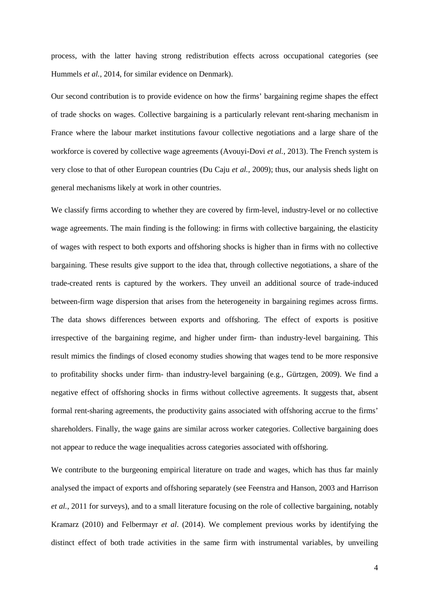process, with the latter having strong redistribution effects across occupational categories (see Hummels *et al.*, 2014, for similar evidence on Denmark).

Our second contribution is to provide evidence on how the firms' bargaining regime shapes the effect of trade shocks on wages. Collective bargaining is a particularly relevant rent-sharing mechanism in France where the labour market institutions favour collective negotiations and a large share of the workforce is covered by collective wage agreements (Avouyi-Dovi *et al.*, 2013). The French system is very close to that of other European countries (Du Caju *et al.*, 2009); thus, our analysis sheds light on general mechanisms likely at work in other countries.

We classify firms according to whether they are covered by firm-level, industry-level or no collective wage agreements. The main finding is the following: in firms with collective bargaining, the elasticity of wages with respect to both exports and offshoring shocks is higher than in firms with no collective bargaining. These results give support to the idea that, through collective negotiations, a share of the trade-created rents is captured by the workers. They unveil an additional source of trade-induced between-firm wage dispersion that arises from the heterogeneity in bargaining regimes across firms. The data shows differences between exports and offshoring. The effect of exports is positive irrespective of the bargaining regime, and higher under firm- than industry-level bargaining. This result mimics the findings of closed economy studies showing that wages tend to be more responsive to profitability shocks under firm- than industry-level bargaining (e.g., Gürtzgen, 2009). We find a negative effect of offshoring shocks in firms without collective agreements. It suggests that, absent formal rent-sharing agreements, the productivity gains associated with offshoring accrue to the firms' shareholders. Finally, the wage gains are similar across worker categories. Collective bargaining does not appear to reduce the wage inequalities across categories associated with offshoring.

We contribute to the burgeoning empirical literature on trade and wages, which has thus far mainly analysed the impact of exports and offshoring separately (see Feenstra and Hanson, 2003 and Harrison *et al.*, 2011 for surveys), and to a small literature focusing on the role of collective bargaining, notably Kramarz (2010) and Felbermayr *et al*. (2014). We complement previous works by identifying the distinct effect of both trade activities in the same firm with instrumental variables, by unveiling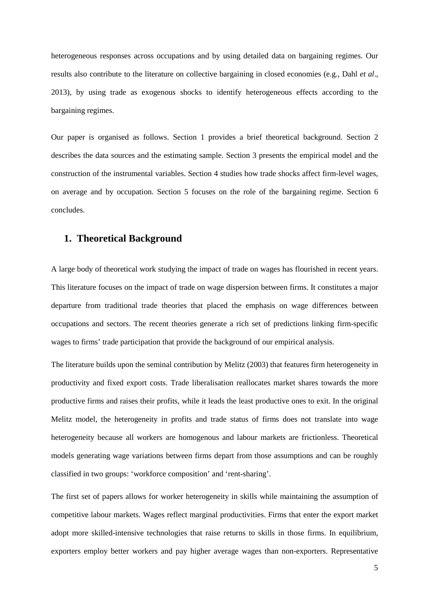heterogeneous responses across occupations and by using detailed data on bargaining regimes. Our results also contribute to the literature on collective bargaining in closed economies (e.g., Dahl *et al*., 2013), by using trade as exogenous shocks to identify heterogeneous effects according to the bargaining regimes.

Our paper is organised as follows. Section 1 provides a brief theoretical background. Section 2 describes the data sources and the estimating sample. Section 3 presents the empirical model and the construction of the instrumental variables. Section 4 studies how trade shocks affect firm-level wages, on average and by occupation. Section 5 focuses on the role of the bargaining regime. Section 6 concludes.

# **1. Theoretical Background**

A large body of theoretical work studying the impact of trade on wages has flourished in recent years. This literature focuses on the impact of trade on wage dispersion between firms. It constitutes a major departure from traditional trade theories that placed the emphasis on wage differences between occupations and sectors. The recent theories generate a rich set of predictions linking firm-specific wages to firms' trade participation that provide the background of our empirical analysis.

The literature builds upon the seminal contribution by Melitz (2003) that features firm heterogeneity in productivity and fixed export costs. Trade liberalisation reallocates market shares towards the more productive firms and raises their profits, while it leads the least productive ones to exit. In the original Melitz model, the heterogeneity in profits and trade status of firms does not translate into wage heterogeneity because all workers are homogenous and labour markets are frictionless. Theoretical models generating wage variations between firms depart from those assumptions and can be roughly classified in two groups: 'workforce composition' and 'rent-sharing'.

The first set of papers allows for worker heterogeneity in skills while maintaining the assumption of competitive labour markets. Wages reflect marginal productivities. Firms that enter the export market adopt more skilled-intensive technologies that raise returns to skills in those firms. In equilibrium, exporters employ better workers and pay higher average wages than non-exporters. Representative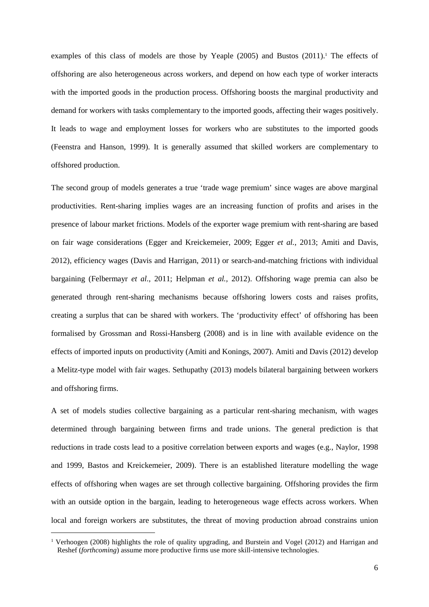examples of this class of models are those by Yeaple (2005) and Bustos (2011).<sup>1</sup> The effects of offshoring are also heterogeneous across workers, and depend on how each type of worker interacts with the imported goods in the production process. Offshoring boosts the marginal productivity and demand for workers with tasks complementary to the imported goods, affecting their wages positively. It leads to wage and employment losses for workers who are substitutes to the imported goods (Feenstra and Hanson, 1999). It is generally assumed that skilled workers are complementary to offshored production.

The second group of models generates a true 'trade wage premium' since wages are above marginal productivities. Rent-sharing implies wages are an increasing function of profits and arises in the presence of labour market frictions. Models of the exporter wage premium with rent-sharing are based on fair wage considerations (Egger and Kreickemeier, 2009; Egger *et al.*, 2013; Amiti and Davis, 2012), efficiency wages (Davis and Harrigan, 2011) or search-and-matching frictions with individual bargaining (Felbermayr *et al.*, 2011; Helpman *et al.,* 2012). Offshoring wage premia can also be generated through rent-sharing mechanisms because offshoring lowers costs and raises profits, creating a surplus that can be shared with workers. The 'productivity effect' of offshoring has been formalised by Grossman and Rossi-Hansberg (2008) and is in line with available evidence on the effects of imported inputs on productivity (Amiti and Konings, 2007). Amiti and Davis (2012) develop a Melitz-type model with fair wages. Sethupathy (2013) models bilateral bargaining between workers and offshoring firms.

A set of models studies collective bargaining as a particular rent-sharing mechanism, with wages determined through bargaining between firms and trade unions. The general prediction is that reductions in trade costs lead to a positive correlation between exports and wages (e.g., Naylor, 1998 and 1999, Bastos and Kreickemeier, 2009). There is an established literature modelling the wage effects of offshoring when wages are set through collective bargaining. Offshoring provides the firm with an outside option in the bargain, leading to heterogeneous wage effects across workers. When local and foreign workers are substitutes, the threat of moving production abroad constrains union

 $\overline{a}$ 

<sup>1</sup> Verhoogen (2008) highlights the role of quality upgrading, and Burstein and Vogel (2012) and Harrigan and Reshef (*forthcoming*) assume more productive firms use more skill-intensive technologies.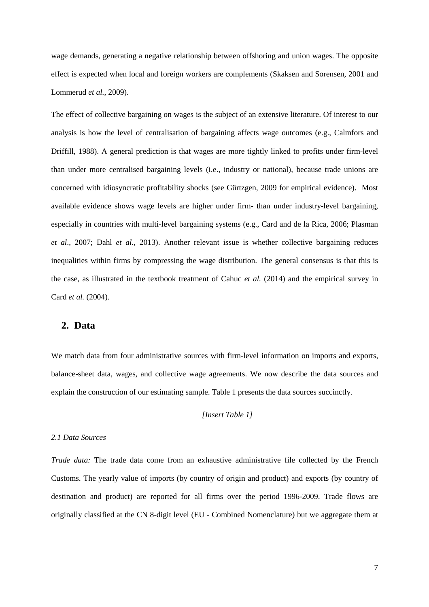wage demands, generating a negative relationship between offshoring and union wages. The opposite effect is expected when local and foreign workers are complements (Skaksen and Sorensen, 2001 and Lommerud *et al.*, 2009).

The effect of collective bargaining on wages is the subject of an extensive literature. Of interest to our analysis is how the level of centralisation of bargaining affects wage outcomes (e.g., Calmfors and Driffill, 1988). A general prediction is that wages are more tightly linked to profits under firm-level than under more centralised bargaining levels (i.e., industry or national), because trade unions are concerned with idiosyncratic profitability shocks (see Gürtzgen, 2009 for empirical evidence). Most available evidence shows wage levels are higher under firm- than under industry-level bargaining, especially in countries with multi-level bargaining systems (e.g., Card and de la Rica, 2006; Plasman *et al*., 2007; Dahl *et al.*, 2013). Another relevant issue is whether collective bargaining reduces inequalities within firms by compressing the wage distribution. The general consensus is that this is the case, as illustrated in the textbook treatment of Cahuc *et al.* (2014) and the empirical survey in Card *et al.* (2004).

# **2. Data**

We match data from four administrative sources with firm-level information on imports and exports, balance-sheet data, wages, and collective wage agreements. We now describe the data sources and explain the construction of our estimating sample. Table 1 presents the data sources succinctly.

## *[Insert Table 1]*

# *2.1 Data Sources*

*Trade data:* The trade data come from an exhaustive administrative file collected by the French Customs. The yearly value of imports (by country of origin and product) and exports (by country of destination and product) are reported for all firms over the period 1996-2009. Trade flows are originally classified at the CN 8-digit level (EU - Combined Nomenclature) but we aggregate them at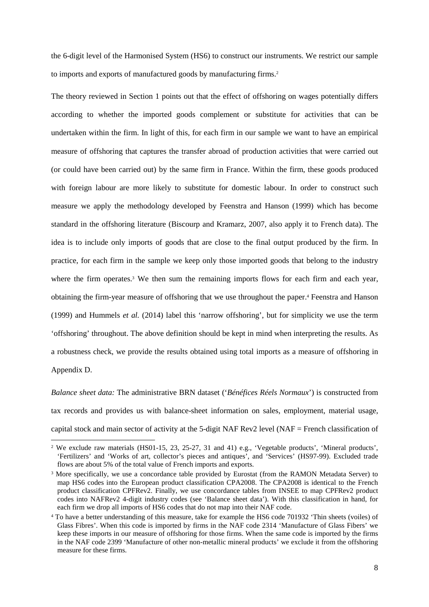the 6-digit level of the Harmonised System (HS6) to construct our instruments. We restrict our sample to imports and exports of manufactured goods by manufacturing firms.<sup>2</sup>

The theory reviewed in Section 1 points out that the effect of offshoring on wages potentially differs according to whether the imported goods complement or substitute for activities that can be undertaken within the firm. In light of this, for each firm in our sample we want to have an empirical measure of offshoring that captures the transfer abroad of production activities that were carried out (or could have been carried out) by the same firm in France. Within the firm, these goods produced with foreign labour are more likely to substitute for domestic labour. In order to construct such measure we apply the methodology developed by Feenstra and Hanson (1999) which has become standard in the offshoring literature (Biscourp and Kramarz, 2007, also apply it to French data). The idea is to include only imports of goods that are close to the final output produced by the firm. In practice, for each firm in the sample we keep only those imported goods that belong to the industry where the firm operates.<sup>3</sup> We then sum the remaining imports flows for each firm and each year, obtaining the firm-year measure of offshoring that we use throughout the paper.<sup>4</sup> Feenstra and Hanson (1999) and Hummels *et al.* (2014) label this 'narrow offshoring', but for simplicity we use the term 'offshoring' throughout. The above definition should be kept in mind when interpreting the results. As a robustness check, we provide the results obtained using total imports as a measure of offshoring in Appendix D.

*Balance sheet data:* The administrative BRN dataset ('*Bénéfices Réels Normaux*') is constructed from tax records and provides us with balance-sheet information on sales, employment, material usage, capital stock and main sector of activity at the 5-digit NAF Rev2 level (NAF = French classification of

 $\overline{a}$ 

<sup>&</sup>lt;sup>2</sup> We exclude raw materials (HS01-15, 23, 25-27, 31 and 41) e.g., 'Vegetable products', 'Mineral products', 'Fertilizers' and 'Works of art, collector's pieces and antiques', and 'Services' (HS97-99). Excluded trade flows are about 5% of the total value of French imports and exports.

<sup>&</sup>lt;sup>3</sup> More specifically, we use a concordance table provided by Eurostat (from the RAMON Metadata Server) to map HS6 codes into the European product classification CPA2008. The CPA2008 is identical to the French product classification CPFRev2. Finally, we use concordance tables from INSEE to map CPFRev2 product codes into NAFRev2 4-digit industry codes (see 'Balance sheet data'). With this classification in hand, for each firm we drop all imports of HS6 codes that do not map into their NAF code.

<sup>4</sup> To have a better understanding of this measure, take for example the HS6 code 701932 'Thin sheets (voiles) of Glass Fibres'. When this code is imported by firms in the NAF code 2314 'Manufacture of Glass Fibers' we keep these imports in our measure of offshoring for those firms. When the same code is imported by the firms in the NAF code 2399 'Manufacture of other non-metallic mineral products' we exclude it from the offshoring measure for these firms.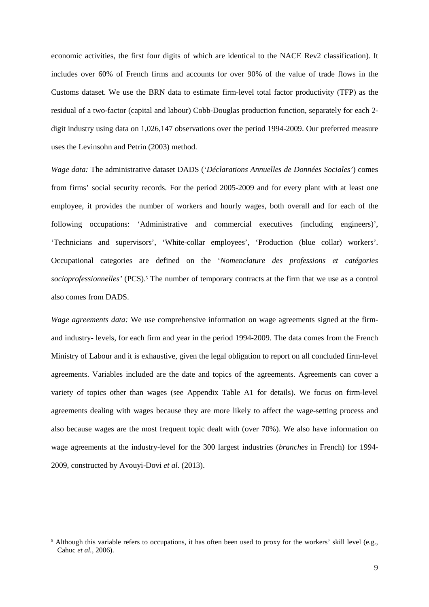economic activities, the first four digits of which are identical to the NACE Rev2 classification). It includes over 60% of French firms and accounts for over 90% of the value of trade flows in the Customs dataset. We use the BRN data to estimate firm-level total factor productivity (TFP) as the residual of a two-factor (capital and labour) Cobb-Douglas production function, separately for each 2 digit industry using data on 1,026,147 observations over the period 1994-2009. Our preferred measure uses the Levinsohn and Petrin (2003) method.

*Wage data:* The administrative dataset DADS ('*Déclarations Annuelles de Données Sociales'*) comes from firms' social security records. For the period 2005-2009 and for every plant with at least one employee, it provides the number of workers and hourly wages, both overall and for each of the following occupations: 'Administrative and commercial executives (including engineers)', 'Technicians and supervisors', 'White-collar employees', 'Production (blue collar) workers'. Occupational categories are defined on the '*Nomenclature des professions et catégories*  socioprofessionnelles' (PCS).<sup>5</sup> The number of temporary contracts at the firm that we use as a control also comes from DADS.

*Wage agreements data:* We use comprehensive information on wage agreements signed at the firmand industry- levels, for each firm and year in the period 1994-2009. The data comes from the French Ministry of Labour and it is exhaustive, given the legal obligation to report on all concluded firm-level agreements. Variables included are the date and topics of the agreements. Agreements can cover a variety of topics other than wages (see Appendix Table A1 for details). We focus on firm-level agreements dealing with wages because they are more likely to affect the wage-setting process and also because wages are the most frequent topic dealt with (over 70%). We also have information on wage agreements at the industry-level for the 300 largest industries (*branches* in French) for 1994- 2009, constructed by Avouyi-Dovi *et al.* (2013).

 $\overline{a}$ 

<sup>&</sup>lt;sup>5</sup> Although this variable refers to occupations, it has often been used to proxy for the workers' skill level (e.g., Cahuc *et al.,* 2006).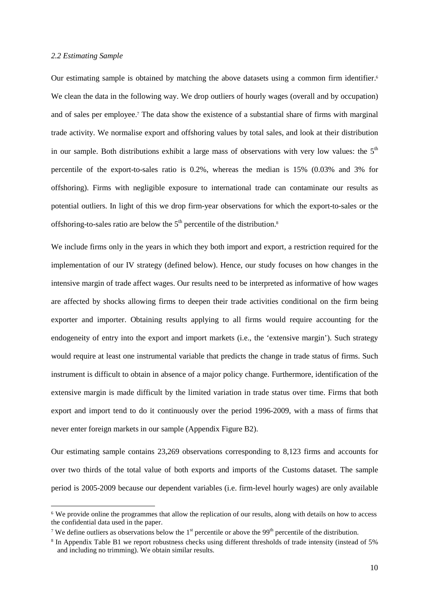#### *2.2 Estimating Sample*

 $\overline{a}$ 

Our estimating sample is obtained by matching the above datasets using a common firm identifier.<sup>6</sup> We clean the data in the following way. We drop outliers of hourly wages (overall and by occupation) and of sales per employee.<sup>7</sup> The data show the existence of a substantial share of firms with marginal trade activity. We normalise export and offshoring values by total sales, and look at their distribution in our sample. Both distributions exhibit a large mass of observations with very low values: the  $5<sup>th</sup>$ percentile of the export-to-sales ratio is 0.2%, whereas the median is 15% (0.03% and 3% for offshoring). Firms with negligible exposure to international trade can contaminate our results as potential outliers. In light of this we drop firm-year observations for which the export-to-sales or the offshoring-to-sales ratio are below the  $5<sup>th</sup>$  percentile of the distribution.<sup>8</sup>

We include firms only in the years in which they both import and export, a restriction required for the implementation of our IV strategy (defined below). Hence, our study focuses on how changes in the intensive margin of trade affect wages. Our results need to be interpreted as informative of how wages are affected by shocks allowing firms to deepen their trade activities conditional on the firm being exporter and importer. Obtaining results applying to all firms would require accounting for the endogeneity of entry into the export and import markets (i.e., the 'extensive margin'). Such strategy would require at least one instrumental variable that predicts the change in trade status of firms. Such instrument is difficult to obtain in absence of a major policy change. Furthermore, identification of the extensive margin is made difficult by the limited variation in trade status over time. Firms that both export and import tend to do it continuously over the period 1996-2009, with a mass of firms that never enter foreign markets in our sample (Appendix Figure B2).

Our estimating sample contains 23,269 observations corresponding to 8,123 firms and accounts for over two thirds of the total value of both exports and imports of the Customs dataset. The sample period is 2005-2009 because our dependent variables (i.e. firm-level hourly wages) are only available

<sup>6</sup> We provide online the programmes that allow the replication of our results, along with details on how to access the confidential data used in the paper.

<sup>&</sup>lt;sup>7</sup> We define outliers as observations below the  $1<sup>st</sup>$  percentile or above the 99<sup>th</sup> percentile of the distribution.

<sup>8</sup> In Appendix Table B1 we report robustness checks using different thresholds of trade intensity (instead of 5% and including no trimming). We obtain similar results.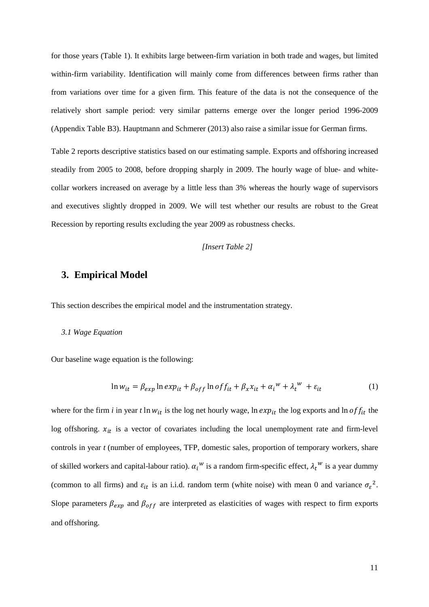for those years (Table 1). It exhibits large between-firm variation in both trade and wages, but limited within-firm variability. Identification will mainly come from differences between firms rather than from variations over time for a given firm. This feature of the data is not the consequence of the relatively short sample period: very similar patterns emerge over the longer period 1996-2009 (Appendix Table B3). Hauptmann and Schmerer (2013) also raise a similar issue for German firms.

Table 2 reports descriptive statistics based on our estimating sample. Exports and offshoring increased steadily from 2005 to 2008, before dropping sharply in 2009. The hourly wage of blue- and whitecollar workers increased on average by a little less than 3% whereas the hourly wage of supervisors and executives slightly dropped in 2009. We will test whether our results are robust to the Great Recession by reporting results excluding the year 2009 as robustness checks.

*[Insert Table 2]* 

# **3. Empirical Model**

This section describes the empirical model and the instrumentation strategy.

#### *3.1 Wage Equation*

Our baseline wage equation is the following:

$$
\ln w_{it} = \beta_{exp} \ln exp_{it} + \beta_{off} \ln off_{it} + \beta_x x_{it} + \alpha_i^w + \lambda_t^w + \varepsilon_{it}
$$
 (1)

where for the firm *i* in year *t*  $\ln w_{it}$  is the log net hourly wage,  $\ln exp_{it}$  the log exports and  $\ln$  of  $f_{it}$  the log offshoring.  $x_{it}$  is a vector of covariates including the local unemployment rate and firm-level controls in year *t* (number of employees, TFP, domestic sales, proportion of temporary workers, share of skilled workers and capital-labour ratio).  $\alpha_i^w$  is a random firm-specific effect,  $\lambda_t^w$  is a year dummy (common to all firms) and  $\varepsilon_{it}$  is an i.i.d. random term (white noise) with mean 0 and variance  $\sigma_{\varepsilon}^2$ . Slope parameters  $\beta_{exp}$  and  $\beta_{off}$  are interpreted as elasticities of wages with respect to firm exports and offshoring.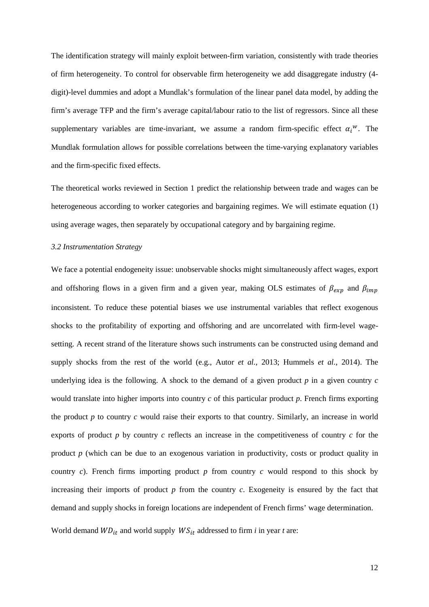The identification strategy will mainly exploit between-firm variation, consistently with trade theories of firm heterogeneity. To control for observable firm heterogeneity we add disaggregate industry (4 digit)-level dummies and adopt a Mundlak's formulation of the linear panel data model, by adding the firm's average TFP and the firm's average capital/labour ratio to the list of regressors. Since all these supplementary variables are time-invariant, we assume a random firm-specific effect  $\alpha_i^w$ . The Mundlak formulation allows for possible correlations between the time-varying explanatory variables and the firm-specific fixed effects.

The theoretical works reviewed in Section 1 predict the relationship between trade and wages can be heterogeneous according to worker categories and bargaining regimes. We will estimate equation (1) using average wages, then separately by occupational category and by bargaining regime.

#### *3.2 Instrumentation Strategy*

We face a potential endogeneity issue: unobservable shocks might simultaneously affect wages, export and offshoring flows in a given firm and a given year, making OLS estimates of  $\beta_{exp}$  and  $\beta_{imp}$ inconsistent. To reduce these potential biases we use instrumental variables that reflect exogenous shocks to the profitability of exporting and offshoring and are uncorrelated with firm-level wagesetting. A recent strand of the literature shows such instruments can be constructed using demand and supply shocks from the rest of the world (e.g., Autor *et al.,* 2013; Hummels *et al.,* 2014). The underlying idea is the following. A shock to the demand of a given product  $p$  in a given country  $c$ would translate into higher imports into country *c* of this particular product *p*. French firms exporting the product *p* to country *c* would raise their exports to that country. Similarly, an increase in world exports of product *p* by country *c* reflects an increase in the competitiveness of country *c* for the product *p* (which can be due to an exogenous variation in productivity, costs or product quality in country *c*). French firms importing product *p* from country *c* would respond to this shock by increasing their imports of product  $p$  from the country  $c$ . Exogeneity is ensured by the fact that demand and supply shocks in foreign locations are independent of French firms' wage determination.

World demand  $WD_{it}$  and world supply  $WS_{it}$  addressed to firm *i* in year *t* are: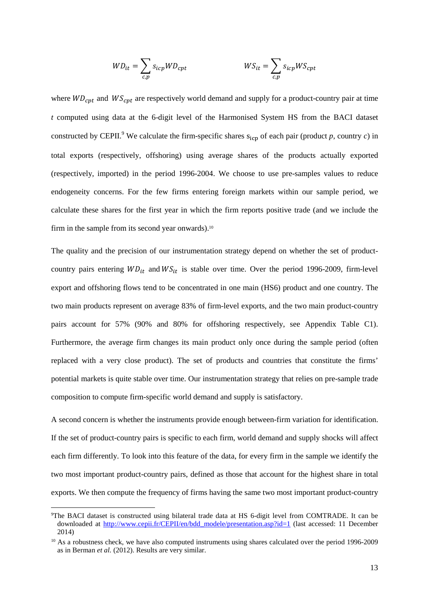$$
WD_{it} = \sum_{c,p} s_{icp} WD_{cpt} \qquad \qquad WS_{it} = \sum_{c,p} s_{icp} WS_{cpt}
$$

where  $WD_{cpt}$  and  $WS_{cpt}$  are respectively world demand and supply for a product-country pair at time *t* computed using data at the 6-digit level of the Harmonised System HS from the BACI dataset constructed by CEPII.<sup>9</sup> We calculate the firm-specific shares  $s_{icp}$  of each pair (product *p*, country *c*) in total exports (respectively, offshoring) using average shares of the products actually exported (respectively, imported) in the period 1996-2004. We choose to use pre-samples values to reduce endogeneity concerns. For the few firms entering foreign markets within our sample period, we calculate these shares for the first year in which the firm reports positive trade (and we include the firm in the sample from its second year onwards).<sup>10</sup>

The quality and the precision of our instrumentation strategy depend on whether the set of productcountry pairs entering  $WD_{it}$  and  $WS_{it}$  is stable over time. Over the period 1996-2009, firm-level export and offshoring flows tend to be concentrated in one main (HS6) product and one country. The two main products represent on average 83% of firm-level exports, and the two main product-country pairs account for 57% (90% and 80% for offshoring respectively, see Appendix Table C1). Furthermore, the average firm changes its main product only once during the sample period (often replaced with a very close product). The set of products and countries that constitute the firms' potential markets is quite stable over time. Our instrumentation strategy that relies on pre-sample trade composition to compute firm-specific world demand and supply is satisfactory.

A second concern is whether the instruments provide enough between-firm variation for identification. If the set of product-country pairs is specific to each firm, world demand and supply shocks will affect each firm differently. To look into this feature of the data, for every firm in the sample we identify the two most important product-country pairs, defined as those that account for the highest share in total exports. We then compute the frequency of firms having the same two most important product-country

 $\overline{a}$ 

<sup>9</sup>The BACI dataset is constructed using bilateral trade data at HS 6-digit level from COMTRADE. It can be downloaded at http://www.cepii.fr/CEPII/en/bdd\_modele/presentation.asp?id=1 (last accessed: 11 December 2014)

<sup>10</sup> As a robustness check, we have also computed instruments using shares calculated over the period 1996-2009 as in Berman *et al.* (2012). Results are very similar.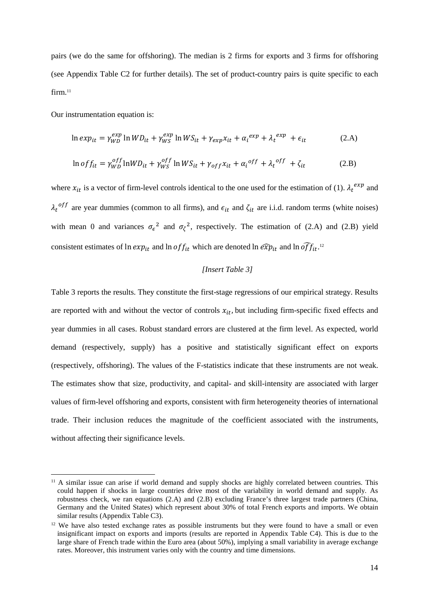pairs (we do the same for offshoring). The median is 2 firms for exports and 3 firms for offshoring (see Appendix Table C2 for further details). The set of product-country pairs is quite specific to each firm.<sup>11</sup>

Our instrumentation equation is:

 $\overline{a}$ 

$$
\ln \exp_{it} = \gamma_{WD}^{exp} \ln WD_{it} + \gamma_{WS}^{exp} \ln WS_{it} + \gamma_{exp} x_{it} + \alpha_i^{exp} + \lambda_t^{exp} + \epsilon_{it}
$$
 (2.A)

$$
\ln of f_{it} = \gamma_{WD}^{off} \ln WD_{it} + \gamma_{WS}^{off} \ln WS_{it} + \gamma_{off} x_{it} + \alpha_i^{off} + \lambda_t^{off} + \zeta_{it}
$$
 (2.B)

where  $x_{it}$  is a vector of firm-level controls identical to the one used for the estimation of (1).  $\lambda_t^{exp}$  and  $\lambda_t$ <sup>off</sup> are year dummies (common to all firms), and  $\epsilon_{it}$  and  $\zeta_{it}$  are i.i.d. random terms (white noises) with mean 0 and variances  $\sigma_{\epsilon}^2$  and  $\sigma_{\zeta}^2$ , respectively. The estimation of (2.A) and (2.B) yield consistent estimates of  $\ln exp_{it}$  and  $\ln$  of  $f_{it}$  which are denoted  $\ln \widehat{exp}_{it}$  and  $\ln \widehat{off}_{it}$ .<sup>12</sup>

# *[Insert Table 3]*

Table 3 reports the results. They constitute the first-stage regressions of our empirical strategy. Results are reported with and without the vector of controls  $x_{it}$ , but including firm-specific fixed effects and year dummies in all cases. Robust standard errors are clustered at the firm level. As expected, world demand (respectively, supply) has a positive and statistically significant effect on exports (respectively, offshoring). The values of the F-statistics indicate that these instruments are not weak. The estimates show that size, productivity, and capital- and skill-intensity are associated with larger values of firm-level offshoring and exports, consistent with firm heterogeneity theories of international trade. Their inclusion reduces the magnitude of the coefficient associated with the instruments, without affecting their significance levels.

<sup>&</sup>lt;sup>11</sup> A similar issue can arise if world demand and supply shocks are highly correlated between countries. This could happen if shocks in large countries drive most of the variability in world demand and supply. As robustness check, we ran equations (2.A) and (2.B) excluding France's three largest trade partners (China, Germany and the United States) which represent about 30% of total French exports and imports. We obtain similar results (Appendix Table C3).

<sup>&</sup>lt;sup>12</sup> We have also tested exchange rates as possible instruments but they were found to have a small or even insignificant impact on exports and imports (results are reported in Appendix Table C4). This is due to the large share of French trade within the Euro area (about 50%), implying a small variability in average exchange rates. Moreover, this instrument varies only with the country and time dimensions.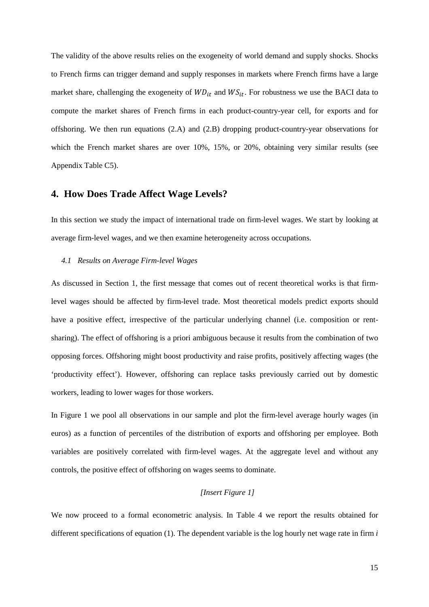The validity of the above results relies on the exogeneity of world demand and supply shocks. Shocks to French firms can trigger demand and supply responses in markets where French firms have a large market share, challenging the exogeneity of  $WD_{it}$  and  $WS_{it}$ . For robustness we use the BACI data to compute the market shares of French firms in each product-country-year cell, for exports and for offshoring. We then run equations (2.A) and (2.B) dropping product-country-year observations for which the French market shares are over 10%, 15%, or 20%, obtaining very similar results (see Appendix Table C5).

# **4. How Does Trade Affect Wage Levels?**

In this section we study the impact of international trade on firm-level wages. We start by looking at average firm-level wages, and we then examine heterogeneity across occupations.

#### *4.1 Results on Average Firm-level Wages*

As discussed in Section 1, the first message that comes out of recent theoretical works is that firmlevel wages should be affected by firm-level trade. Most theoretical models predict exports should have a positive effect, irrespective of the particular underlying channel (i.e. composition or rentsharing). The effect of offshoring is a priori ambiguous because it results from the combination of two opposing forces. Offshoring might boost productivity and raise profits, positively affecting wages (the 'productivity effect'). However, offshoring can replace tasks previously carried out by domestic workers, leading to lower wages for those workers.

In Figure 1 we pool all observations in our sample and plot the firm-level average hourly wages (in euros) as a function of percentiles of the distribution of exports and offshoring per employee. Both variables are positively correlated with firm-level wages. At the aggregate level and without any controls, the positive effect of offshoring on wages seems to dominate.

# *[Insert Figure 1]*

We now proceed to a formal econometric analysis. In Table 4 we report the results obtained for different specifications of equation (1). The dependent variable is the log hourly net wage rate in firm *i*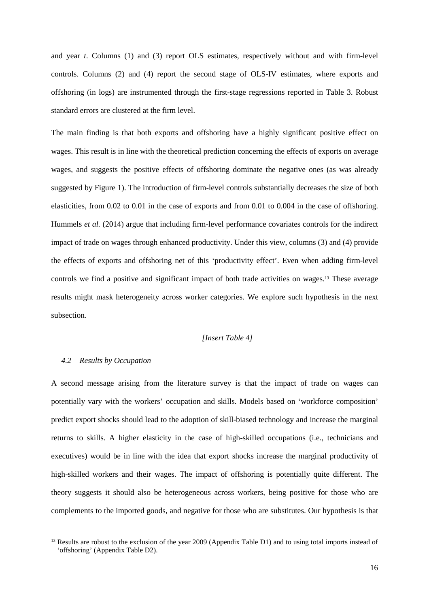and year *t*. Columns (1) and (3) report OLS estimates, respectively without and with firm-level controls. Columns (2) and (4) report the second stage of OLS-IV estimates, where exports and offshoring (in logs) are instrumented through the first-stage regressions reported in Table 3. Robust standard errors are clustered at the firm level.

The main finding is that both exports and offshoring have a highly significant positive effect on wages. This result is in line with the theoretical prediction concerning the effects of exports on average wages, and suggests the positive effects of offshoring dominate the negative ones (as was already suggested by Figure 1). The introduction of firm-level controls substantially decreases the size of both elasticities, from 0.02 to 0.01 in the case of exports and from 0.01 to 0.004 in the case of offshoring. Hummels *et al.* (2014) argue that including firm-level performance covariates controls for the indirect impact of trade on wages through enhanced productivity. Under this view, columns (3) and (4) provide the effects of exports and offshoring net of this 'productivity effect'. Even when adding firm-level controls we find a positive and significant impact of both trade activities on wages.13 These average results might mask heterogeneity across worker categories. We explore such hypothesis in the next subsection.

# *[Insert Table 4]*

# *4.2 Results by Occupation*

 $\overline{a}$ 

A second message arising from the literature survey is that the impact of trade on wages can potentially vary with the workers' occupation and skills. Models based on 'workforce composition' predict export shocks should lead to the adoption of skill-biased technology and increase the marginal returns to skills. A higher elasticity in the case of high-skilled occupations (i.e., technicians and executives) would be in line with the idea that export shocks increase the marginal productivity of high-skilled workers and their wages. The impact of offshoring is potentially quite different. The theory suggests it should also be heterogeneous across workers, being positive for those who are complements to the imported goods, and negative for those who are substitutes. Our hypothesis is that

<sup>&</sup>lt;sup>13</sup> Results are robust to the exclusion of the year 2009 (Appendix Table D1) and to using total imports instead of 'offshoring' (Appendix Table D2).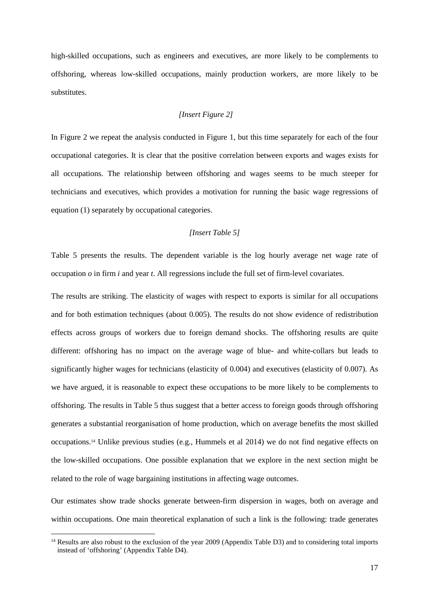high-skilled occupations, such as engineers and executives, are more likely to be complements to offshoring, whereas low-skilled occupations, mainly production workers, are more likely to be substitutes.

# *[Insert Figure 2]*

In Figure 2 we repeat the analysis conducted in Figure 1, but this time separately for each of the four occupational categories. It is clear that the positive correlation between exports and wages exists for all occupations. The relationship between offshoring and wages seems to be much steeper for technicians and executives, which provides a motivation for running the basic wage regressions of equation (1) separately by occupational categories.

# *[Insert Table 5]*

Table 5 presents the results. The dependent variable is the log hourly average net wage rate of occupation  $\varphi$  in firm  $i$  and year  $t$ . All regressions include the full set of firm-level covariates.

The results are striking. The elasticity of wages with respect to exports is similar for all occupations and for both estimation techniques (about 0.005). The results do not show evidence of redistribution effects across groups of workers due to foreign demand shocks. The offshoring results are quite different: offshoring has no impact on the average wage of blue- and white-collars but leads to significantly higher wages for technicians (elasticity of 0.004) and executives (elasticity of 0.007). As we have argued, it is reasonable to expect these occupations to be more likely to be complements to offshoring. The results in Table 5 thus suggest that a better access to foreign goods through offshoring generates a substantial reorganisation of home production, which on average benefits the most skilled occupations.14 Unlike previous studies (e.g., Hummels et al 2014) we do not find negative effects on the low-skilled occupations. One possible explanation that we explore in the next section might be related to the role of wage bargaining institutions in affecting wage outcomes.

Our estimates show trade shocks generate between-firm dispersion in wages, both on average and within occupations. One main theoretical explanation of such a link is the following: trade generates

 $\overline{a}$ 

<sup>&</sup>lt;sup>14</sup> Results are also robust to the exclusion of the year 2009 (Appendix Table D3) and to considering total imports instead of 'offshoring' (Appendix Table D4).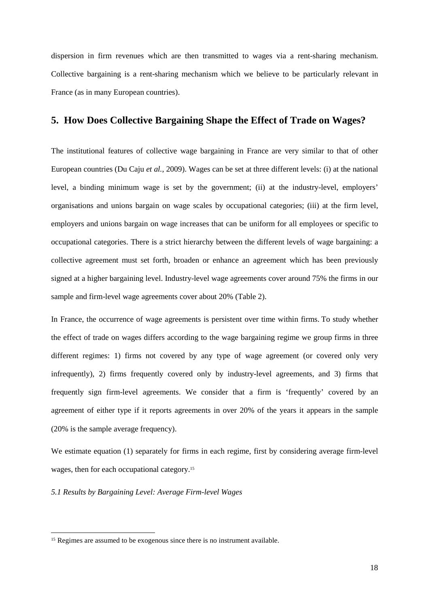dispersion in firm revenues which are then transmitted to wages via a rent-sharing mechanism. Collective bargaining is a rent-sharing mechanism which we believe to be particularly relevant in France (as in many European countries).

# **5. How Does Collective Bargaining Shape the Effect of Trade on Wages?**

The institutional features of collective wage bargaining in France are very similar to that of other European countries (Du Caju *et al.*, 2009). Wages can be set at three different levels: (i) at the national level, a binding minimum wage is set by the government; (ii) at the industry-level, employers' organisations and unions bargain on wage scales by occupational categories; (iii) at the firm level, employers and unions bargain on wage increases that can be uniform for all employees or specific to occupational categories. There is a strict hierarchy between the different levels of wage bargaining: a collective agreement must set forth, broaden or enhance an agreement which has been previously signed at a higher bargaining level. Industry-level wage agreements cover around 75% the firms in our sample and firm-level wage agreements cover about 20% (Table 2).

In France, the occurrence of wage agreements is persistent over time within firms. To study whether the effect of trade on wages differs according to the wage bargaining regime we group firms in three different regimes: 1) firms not covered by any type of wage agreement (or covered only very infrequently), 2) firms frequently covered only by industry-level agreements, and 3) firms that frequently sign firm-level agreements. We consider that a firm is 'frequently' covered by an agreement of either type if it reports agreements in over 20% of the years it appears in the sample (20% is the sample average frequency).

We estimate equation (1) separately for firms in each regime, first by considering average firm-level wages, then for each occupational category.<sup>15</sup>

*5.1 Results by Bargaining Level: Average Firm-level Wages* 

 $\overline{a}$ 

<sup>&</sup>lt;sup>15</sup> Regimes are assumed to be exogenous since there is no instrument available.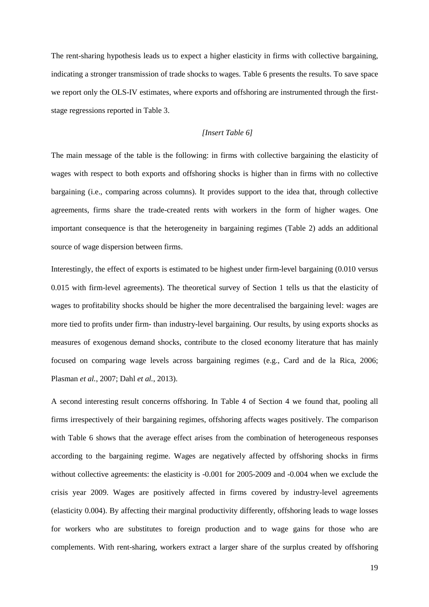The rent-sharing hypothesis leads us to expect a higher elasticity in firms with collective bargaining, indicating a stronger transmission of trade shocks to wages. Table 6 presents the results. To save space we report only the OLS-IV estimates, where exports and offshoring are instrumented through the firststage regressions reported in Table 3.

# *[Insert Table 6]*

The main message of the table is the following: in firms with collective bargaining the elasticity of wages with respect to both exports and offshoring shocks is higher than in firms with no collective bargaining (i.e., comparing across columns). It provides support to the idea that, through collective agreements, firms share the trade-created rents with workers in the form of higher wages. One important consequence is that the heterogeneity in bargaining regimes (Table 2) adds an additional source of wage dispersion between firms.

Interestingly, the effect of exports is estimated to be highest under firm-level bargaining (0.010 versus 0.015 with firm-level agreements). The theoretical survey of Section 1 tells us that the elasticity of wages to profitability shocks should be higher the more decentralised the bargaining level: wages are more tied to profits under firm- than industry-level bargaining. Our results, by using exports shocks as measures of exogenous demand shocks, contribute to the closed economy literature that has mainly focused on comparing wage levels across bargaining regimes (e.g., Card and de la Rica, 2006; Plasman *et al.*, 2007; Dahl *et al.*, 2013).

A second interesting result concerns offshoring. In Table 4 of Section 4 we found that, pooling all firms irrespectively of their bargaining regimes, offshoring affects wages positively. The comparison with Table 6 shows that the average effect arises from the combination of heterogeneous responses according to the bargaining regime. Wages are negatively affected by offshoring shocks in firms without collective agreements: the elasticity is -0.001 for 2005-2009 and -0.004 when we exclude the crisis year 2009. Wages are positively affected in firms covered by industry-level agreements (elasticity 0.004). By affecting their marginal productivity differently, offshoring leads to wage losses for workers who are substitutes to foreign production and to wage gains for those who are complements. With rent-sharing, workers extract a larger share of the surplus created by offshoring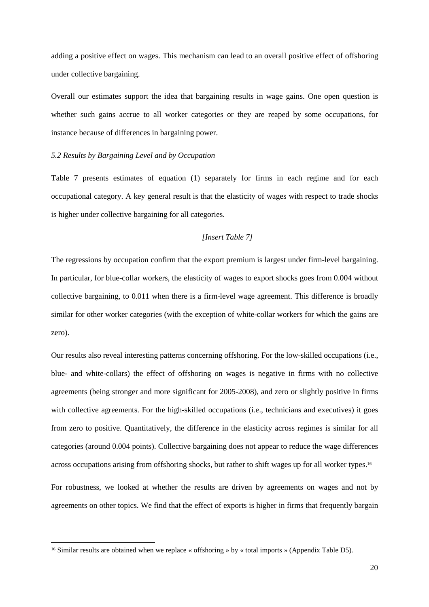adding a positive effect on wages. This mechanism can lead to an overall positive effect of offshoring under collective bargaining.

Overall our estimates support the idea that bargaining results in wage gains. One open question is whether such gains accrue to all worker categories or they are reaped by some occupations, for instance because of differences in bargaining power.

#### *5.2 Results by Bargaining Level and by Occupation*

Table 7 presents estimates of equation (1) separately for firms in each regime and for each occupational category. A key general result is that the elasticity of wages with respect to trade shocks is higher under collective bargaining for all categories.

# *[Insert Table 7]*

The regressions by occupation confirm that the export premium is largest under firm-level bargaining. In particular, for blue-collar workers, the elasticity of wages to export shocks goes from 0.004 without collective bargaining, to 0.011 when there is a firm-level wage agreement. This difference is broadly similar for other worker categories (with the exception of white-collar workers for which the gains are zero).

Our results also reveal interesting patterns concerning offshoring. For the low-skilled occupations (i.e., blue- and white-collars) the effect of offshoring on wages is negative in firms with no collective agreements (being stronger and more significant for 2005-2008), and zero or slightly positive in firms with collective agreements. For the high-skilled occupations (i.e., technicians and executives) it goes from zero to positive. Quantitatively, the difference in the elasticity across regimes is similar for all categories (around 0.004 points). Collective bargaining does not appear to reduce the wage differences across occupations arising from offshoring shocks, but rather to shift wages up for all worker types.<sup>16</sup>

For robustness, we looked at whether the results are driven by agreements on wages and not by agreements on other topics. We find that the effect of exports is higher in firms that frequently bargain

l

<sup>&</sup>lt;sup>16</sup> Similar results are obtained when we replace « offshoring » by « total imports » (Appendix Table D5).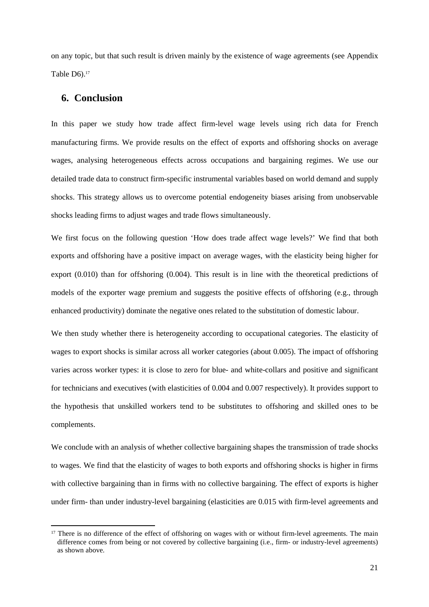on any topic, but that such result is driven mainly by the existence of wage agreements (see Appendix Table  $D6$ ).<sup>17</sup>

# **6. Conclusion**

 $\overline{a}$ 

In this paper we study how trade affect firm-level wage levels using rich data for French manufacturing firms. We provide results on the effect of exports and offshoring shocks on average wages, analysing heterogeneous effects across occupations and bargaining regimes. We use our detailed trade data to construct firm-specific instrumental variables based on world demand and supply shocks. This strategy allows us to overcome potential endogeneity biases arising from unobservable shocks leading firms to adjust wages and trade flows simultaneously.

We first focus on the following question 'How does trade affect wage levels?' We find that both exports and offshoring have a positive impact on average wages, with the elasticity being higher for export (0.010) than for offshoring (0.004). This result is in line with the theoretical predictions of models of the exporter wage premium and suggests the positive effects of offshoring (e.g., through enhanced productivity) dominate the negative ones related to the substitution of domestic labour.

We then study whether there is heterogeneity according to occupational categories. The elasticity of wages to export shocks is similar across all worker categories (about 0.005). The impact of offshoring varies across worker types: it is close to zero for blue- and white-collars and positive and significant for technicians and executives (with elasticities of 0.004 and 0.007 respectively). It provides support to the hypothesis that unskilled workers tend to be substitutes to offshoring and skilled ones to be complements.

We conclude with an analysis of whether collective bargaining shapes the transmission of trade shocks to wages. We find that the elasticity of wages to both exports and offshoring shocks is higher in firms with collective bargaining than in firms with no collective bargaining. The effect of exports is higher under firm- than under industry-level bargaining (elasticities are 0.015 with firm-level agreements and

<sup>&</sup>lt;sup>17</sup> There is no difference of the effect of offshoring on wages with or without firm-level agreements. The main difference comes from being or not covered by collective bargaining (i.e., firm- or industry-level agreements) as shown above.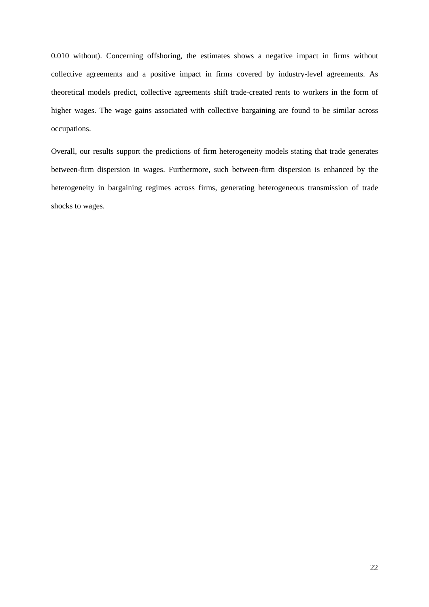0.010 without). Concerning offshoring, the estimates shows a negative impact in firms without collective agreements and a positive impact in firms covered by industry-level agreements. As theoretical models predict, collective agreements shift trade-created rents to workers in the form of higher wages. The wage gains associated with collective bargaining are found to be similar across occupations.

Overall, our results support the predictions of firm heterogeneity models stating that trade generates between-firm dispersion in wages. Furthermore, such between-firm dispersion is enhanced by the heterogeneity in bargaining regimes across firms, generating heterogeneous transmission of trade shocks to wages.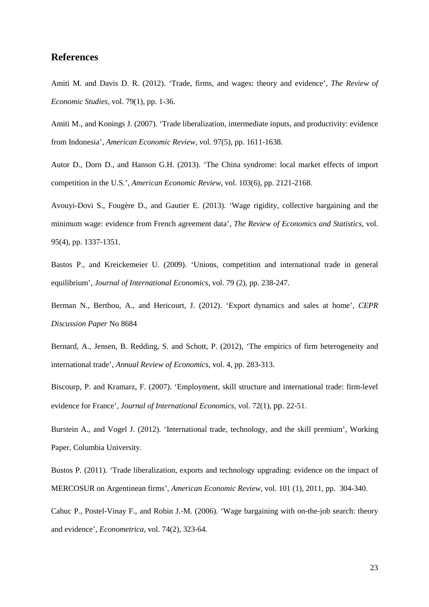# **References**

Amiti M. and Davis D. R. (2012). 'Trade, firms, and wages: theory and evidence', *The Review of Economic Studies*, vol. 79(1), pp. 1-36.

Amiti M., and Konings J. (2007). 'Trade liberalization, intermediate inputs, and productivity: evidence from Indonesia', *American Economic Review*, vol. 97(5), pp. 1611-1638.

Autor D., Dorn D., and Hanson G.H. (2013). 'The China syndrome: local market effects of import competition in the U.S.', *American Economic Review*, vol. 103(6), pp. 2121-2168.

Avouyi-Dovi S., Fougère D., and Gautier E. (2013). 'Wage rigidity, collective bargaining and the minimum wage: evidence from French agreement data', *The Review of Economics and Statistics,* vol. 95(4), pp. 1337-1351*.*

Bastos P., and Kreickemeier U. (2009). 'Unions, competition and international trade in general equilibrium', *Journal of International Economics*, vol. 79 (2), pp. 238-247.

Berman N., Berthou, A., and Hericourt, J. (2012). 'Export dynamics and sales at home', *CEPR Discussion Paper* No 8684

Bernard, A., Jensen, B. Redding, S. and Schott, P. (2012), 'The empirics of firm heterogeneity and international trade', *Annual Review of Economics,* vol. 4, pp. 283-313.

Biscourp, P. and Kramarz, F. (2007). 'Employment, skill structure and international trade: firm-level evidence for France', *Journal of International Economics*, vol. 72(1), pp. 22-51.

Burstein A., and Vogel J. (2012). 'International trade, technology, and the skill premium', Working Paper, Columbia University.

Bustos P. (2011). 'Trade liberalization, exports and technology upgrading: evidence on the impact of MERCOSUR on Argentinean firms', *American Economic Review*, vol. 101 (1), 2011, pp. 304-340.

Cahuc P., Postel-Vinay F., and Robin J.-M. (2006). 'Wage bargaining with on-the-job search: theory and evidence', *Econometrica*, vol. 74(2), 323-64.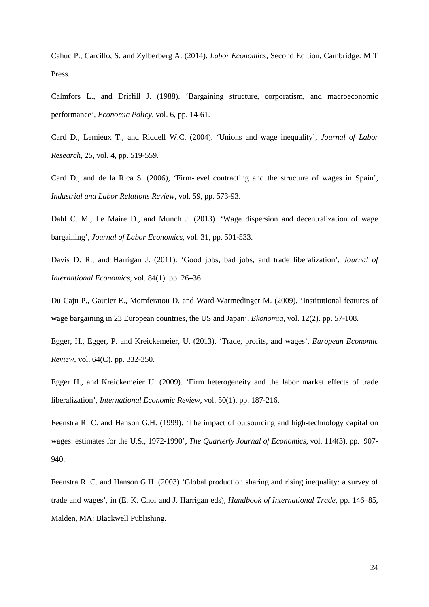Cahuc P., Carcillo, S. and Zylberberg A. (2014). *Labor Economics*, Second Edition, Cambridge: MIT Press.

Calmfors L., and Driffill J. (1988). 'Bargaining structure, corporatism, and macroeconomic performance', *Economic Policy*, vol. 6, pp. 14-61.

Card D., Lemieux T., and Riddell W.C. (2004). 'Unions and wage inequality', *Journal of Labor Research*, 25, vol. 4, pp. 519-559.

Card D., and de la Rica S. (2006), 'Firm-level contracting and the structure of wages in Spain', *Industrial and Labor Relations Review,* vol. 59, pp. 573-93.

Dahl C. M., Le Maire D., and Munch J. (2013). 'Wage dispersion and decentralization of wage bargaining', *Journal of Labor Economics,* vol. 31, pp. 501-533.

Davis D. R., and Harrigan J. (2011). 'Good jobs, bad jobs, and trade liberalization', *Journal of International Economics*, vol. 84(1). pp. 26–36.

Du Caju P., Gautier E., Momferatou D. and Ward-Warmedinger M. (2009), 'Institutional features of wage bargaining in 23 European countries, the US and Japan', *Ekonomia*, vol. 12(2). pp. 57-108.

Egger, H., Egger, P. and Kreickemeier, U. (2013). 'Trade, profits, and wages', *European Economic Review*, vol. 64(C). pp. 332-350.

Egger H., and Kreickemeier U. (2009). 'Firm heterogeneity and the labor market effects of trade liberalization', *International Economic Review*, vol. 50(1). pp. 187-216.

Feenstra R. C. and Hanson G.H. (1999). 'The impact of outsourcing and high-technology capital on wages: estimates for the U.S., 1972-1990', *The Quarterly Journal of Economics*, vol. 114(3). pp. 907- 940.

Feenstra R. C. and Hanson G.H. (2003) 'Global production sharing and rising inequality: a survey of trade and wages', in (E. K. Choi and J. Harrigan eds), *Handbook of International Trade*, pp. 146–85, Malden, MA: Blackwell Publishing.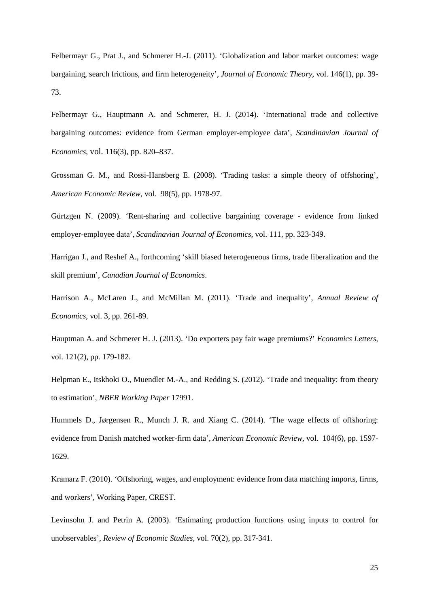Felbermayr G., Prat J., and Schmerer H.-J. (2011). 'Globalization and labor market outcomes: wage bargaining, search frictions, and firm heterogeneity', *Journal of Economic Theory*, vol. 146(1), pp. 39- 73.

Felbermayr G., Hauptmann A. and Schmerer, H. J. (2014). 'International trade and collective bargaining outcomes: evidence from German employer-employee data', *Scandinavian Journal of Economics*, vol. 116(3), pp. 820–837.

Grossman G. M., and Rossi-Hansberg E. (2008). 'Trading tasks: a simple theory of offshoring', *American Economic Review*, vol. 98(5), pp. 1978-97.

Gürtzgen N. (2009). 'Rent-sharing and collective bargaining coverage - evidence from linked employer-employee data', *Scandinavian Journal of Economics*, vol. 111, pp. 323-349.

Harrigan J., and Reshef A., forthcoming 'skill biased heterogeneous firms, trade liberalization and the skill premium', *Canadian Journal of Economics*.

Harrison A., McLaren J., and McMillan M. (2011). 'Trade and inequality', *Annual Review of Economics*, vol. 3, pp. 261-89.

Hauptman A. and Schmerer H. J. (2013). 'Do exporters pay fair wage premiums?' *Economics Letters*, vol. 121(2), pp. 179-182.

Helpman E., Itskhoki O., Muendler M.-A., and Redding S. (2012). 'Trade and inequality: from theory to estimation', *NBER Working Paper* 17991.

Hummels D., Jørgensen R., Munch J. R. and Xiang C. (2014). 'The wage effects of offshoring: evidence from Danish matched worker-firm data', *American Economic Review,* vol. 104(6), pp. 1597- 1629.

Kramarz F. (2010). 'Offshoring, wages, and employment: evidence from data matching imports, firms, and workers', Working Paper, CREST.

Levinsohn J. and Petrin A. (2003). 'Estimating production functions using inputs to control for unobservables', *Review of Economic Studies*, vol. 70(2), pp. 317-341.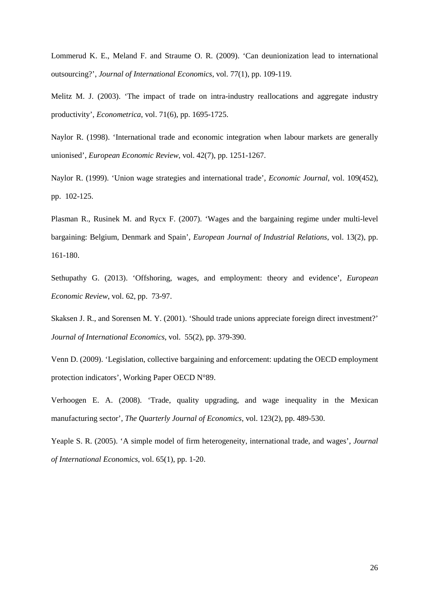Lommerud K. E., Meland F. and Straume O. R. (2009). 'Can deunionization lead to international outsourcing?', *Journal of International Economics*, vol. 77(1), pp. 109-119.

Melitz M. J. (2003). 'The impact of trade on intra-industry reallocations and aggregate industry productivity', *Econometrica*, vol. 71(6), pp. 1695-1725.

Naylor R. (1998). 'International trade and economic integration when labour markets are generally unionised', *European Economic Review*, vol. 42(7), pp. 1251-1267.

Naylor R. (1999). 'Union wage strategies and international trade', *Economic Journal*, vol. 109(452), pp. 102-125.

Plasman R., Rusinek M. and Rycx F. (2007). 'Wages and the bargaining regime under multi-level bargaining: Belgium, Denmark and Spain', *European Journal of Industrial Relations*, vol. 13(2), pp. 161-180.

Sethupathy G. (2013). 'Offshoring, wages, and employment: theory and evidence', *European Economic Review*, vol. 62, pp. 73-97.

Skaksen J. R., and Sorensen M. Y. (2001). 'Should trade unions appreciate foreign direct investment?' *Journal of International Economics*, vol. 55(2), pp. 379-390.

Venn D. (2009). 'Legislation, collective bargaining and enforcement: updating the OECD employment protection indicators', Working Paper OECD N°89.

Verhoogen E. A. (2008). 'Trade, quality upgrading, and wage inequality in the Mexican manufacturing sector', *The Quarterly Journal of Economics*, vol. 123(2), pp. 489-530.

Yeaple S. R. (2005). 'A simple model of firm heterogeneity, international trade, and wages', *Journal of International Economics*, vol. 65(1), pp. 1-20.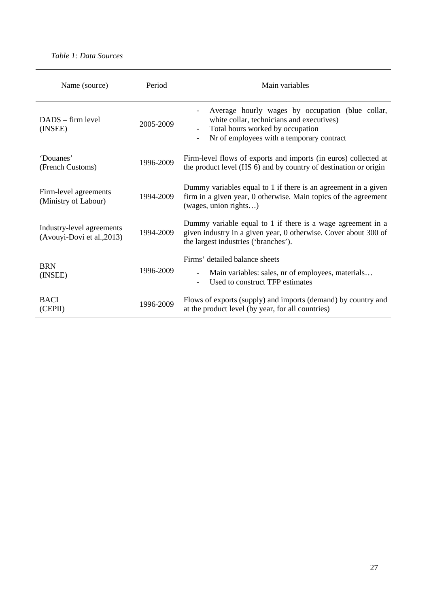# *Table 1: Data Sources*

| Name (source)                                           | Period    | Main variables                                                                                                                                                                                             |  |  |  |
|---------------------------------------------------------|-----------|------------------------------------------------------------------------------------------------------------------------------------------------------------------------------------------------------------|--|--|--|
| $DADS - firm level$<br>(INSEE)                          | 2005-2009 | Average hourly wages by occupation (blue collar,<br>white collar, technicians and executives)<br>Total hours worked by occupation<br>$\overline{\phantom{a}}$<br>Nr of employees with a temporary contract |  |  |  |
| 'Douanes'<br>(French Customs)                           | 1996-2009 | Firm-level flows of exports and imports (in euros) collected at<br>the product level (HS 6) and by country of destination or origin                                                                        |  |  |  |
| Firm-level agreements<br>(Ministry of Labour)           | 1994-2009 | Dummy variables equal to 1 if there is an agreement in a given<br>firm in a given year, 0 otherwise. Main topics of the agreement<br>(wages, union rights)                                                 |  |  |  |
| Industry-level agreements<br>(Avouyi-Dovi et al., 2013) | 1994-2009 | Dummy variable equal to 1 if there is a wage agreement in a<br>given industry in a given year, 0 otherwise. Cover about 300 of<br>the largest industries ('branches').                                     |  |  |  |
| <b>BRN</b><br>(INSEE)                                   | 1996-2009 | Firms' detailed balance sheets<br>Main variables: sales, nr of employees, materials<br>Used to construct TFP estimates<br>$\overline{\phantom{a}}$                                                         |  |  |  |
| <b>BACI</b><br>(CEPII)                                  | 1996-2009 | Flows of exports (supply) and imports (demand) by country and<br>at the product level (by year, for all countries)                                                                                         |  |  |  |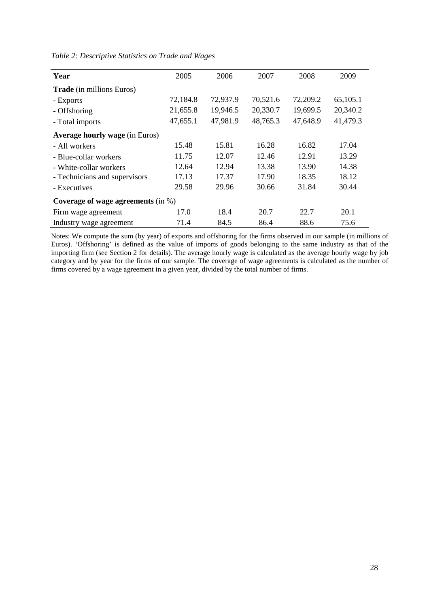| Year                                  | 2005                                 | 2006     | 2007     | 2008     | 2009     |  |  |  |
|---------------------------------------|--------------------------------------|----------|----------|----------|----------|--|--|--|
| <b>Trade</b> (in millions Euros)      |                                      |          |          |          |          |  |  |  |
| - Exports                             | 72,184.8                             | 72,937.9 | 70,521.6 | 72,209.2 | 65,105.1 |  |  |  |
| - Offshoring                          | 21,655.8                             | 19,946.5 | 20,330.7 | 19,699.5 | 20,340.2 |  |  |  |
| - Total imports                       | 47,655.1                             | 47,981.9 | 48,765.3 | 47,648.9 | 41,479.3 |  |  |  |
| <b>Average hourly wage (in Euros)</b> |                                      |          |          |          |          |  |  |  |
| - All workers                         | 15.48                                | 15.81    | 16.28    | 16.82    | 17.04    |  |  |  |
| - Blue-collar workers                 | 11.75                                | 12.07    | 12.46    | 12.91    | 13.29    |  |  |  |
| - White-collar workers                | 12.64                                | 12.94    | 13.38    | 13.90    | 14.38    |  |  |  |
| - Technicians and supervisors         | 17.13                                | 17.37    | 17.90    | 18.35    | 18.12    |  |  |  |
| - Executives                          | 29.58                                | 29.96    | 30.66    | 31.84    | 30.44    |  |  |  |
|                                       | Coverage of wage agreements $(in %)$ |          |          |          |          |  |  |  |
| Firm wage agreement                   | 17.0                                 | 18.4     | 20.7     | 22.7     | 20.1     |  |  |  |
| Industry wage agreement               | 71.4                                 | 84.5     | 86.4     | 88.6     | 75.6     |  |  |  |

*Table 2: Descriptive Statistics on Trade and Wages* 

Notes: We compute the sum (by year) of exports and offshoring for the firms observed in our sample (in millions of Euros). 'Offshoring' is defined as the value of imports of goods belonging to the same industry as that of the importing firm (see Section 2 for details). The average hourly wage is calculated as the average hourly wage by job category and by year for the firms of our sample. The coverage of wage agreements is calculated as the number of firms covered by a wage agreement in a given year, divided by the total number of firms.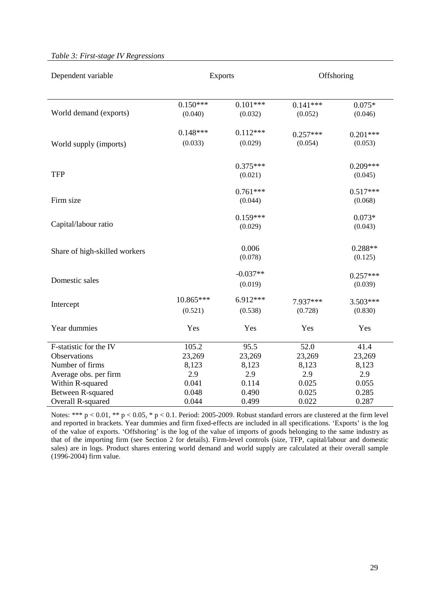# *Table 3: First-stage IV Regressions*

| Dependent variable            | <b>Exports</b> |            | Offshoring |            |  |
|-------------------------------|----------------|------------|------------|------------|--|
|                               |                |            |            |            |  |
|                               | $0.150***$     | $0.101***$ | $0.141***$ | $0.075*$   |  |
| World demand (exports)        | (0.040)        | (0.032)    | (0.052)    | (0.046)    |  |
|                               | $0.148***$     | $0.112***$ | $0.257***$ | $0.201***$ |  |
| World supply (imports)        | (0.033)        | (0.029)    | (0.054)    | (0.053)    |  |
|                               |                | $0.375***$ |            | $0.209***$ |  |
| <b>TFP</b>                    |                | (0.021)    |            | (0.045)    |  |
|                               |                | $0.761***$ |            | $0.517***$ |  |
| Firm size                     |                | (0.044)    |            | (0.068)    |  |
|                               |                | $0.159***$ |            | $0.073*$   |  |
| Capital/labour ratio          |                | (0.029)    |            | (0.043)    |  |
|                               |                | 0.006      |            | $0.288**$  |  |
| Share of high-skilled workers |                | (0.078)    |            | (0.125)    |  |
|                               |                | $-0.037**$ |            | $0.257***$ |  |
| Domestic sales                |                | (0.019)    |            | (0.039)    |  |
| Intercept                     | 10.865***      | 6.912***   | 7.937***   | $3.503***$ |  |
|                               | (0.521)        | (0.538)    | (0.728)    | (0.830)    |  |
| Year dummies                  | Yes            | Yes        | Yes        | Yes        |  |
| F-statistic for the IV        | 105.2          | 95.5       | 52.0       | 41.4       |  |
| Observations                  | 23,269         | 23,269     | 23,269     | 23,269     |  |
| Number of firms               | 8,123          | 8,123      | 8,123      | 8,123      |  |
| Average obs. per firm         | 2.9            | 2.9        | 2.9        | 2.9        |  |
| Within R-squared              | 0.041          | 0.114      | 0.025      | 0.055      |  |
| Between R-squared             | 0.048          | 0.490      | 0.025      | 0.285      |  |
| Overall R-squared             | 0.044          | 0.499      | 0.022      | 0.287      |  |

Notes: \*\*\*  $p < 0.01$ , \*\*  $p < 0.05$ , \*  $p < 0.1$ . Period: 2005-2009. Robust standard errors are clustered at the firm level and reported in brackets. Year dummies and firm fixed-effects are included in all specifications. 'Exports' is the log of the value of exports. 'Offshoring' is the log of the value of imports of goods belonging to the same industry as that of the importing firm (see Section 2 for details). Firm-level controls (size, TFP, capital/labour and domestic sales) are in logs. Product shares entering world demand and world supply are calculated at their overall sample (1996-2004) firm value.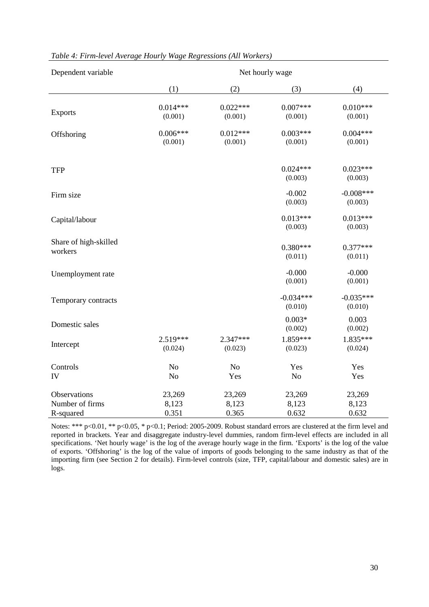| Dependent variable                           | Net hourly wage          |                          |                          |                          |  |  |  |  |
|----------------------------------------------|--------------------------|--------------------------|--------------------------|--------------------------|--|--|--|--|
|                                              | (1)                      | (2)                      | (3)                      | (4)                      |  |  |  |  |
| <b>Exports</b>                               | $0.014***$<br>(0.001)    | $0.022***$<br>(0.001)    | $0.007***$<br>(0.001)    | $0.010***$<br>(0.001)    |  |  |  |  |
| Offshoring                                   | $0.006***$<br>(0.001)    | $0.012***$<br>(0.001)    | $0.003***$<br>(0.001)    | $0.004***$<br>(0.001)    |  |  |  |  |
| <b>TFP</b>                                   |                          |                          | $0.024***$<br>(0.003)    | $0.023***$<br>(0.003)    |  |  |  |  |
| Firm size                                    |                          |                          | $-0.002$<br>(0.003)      | $-0.008***$<br>(0.003)   |  |  |  |  |
| Capital/labour                               |                          |                          | $0.013***$<br>(0.003)    | $0.013***$<br>(0.003)    |  |  |  |  |
| Share of high-skilled<br>workers             |                          |                          | $0.380***$<br>(0.011)    | $0.377***$<br>(0.011)    |  |  |  |  |
| Unemployment rate                            |                          |                          | $-0.000$<br>(0.001)      | $-0.000$<br>(0.001)      |  |  |  |  |
| Temporary contracts                          |                          |                          | $-0.034***$<br>(0.010)   | $-0.035***$<br>(0.010)   |  |  |  |  |
| Domestic sales                               |                          |                          | $0.003*$<br>(0.002)      | 0.003<br>(0.002)         |  |  |  |  |
| Intercept                                    | $2.519***$<br>(0.024)    | 2.347***<br>(0.023)      | 1.859***<br>(0.023)      | 1.835***<br>(0.024)      |  |  |  |  |
| Controls<br>IV                               | No<br>N <sub>o</sub>     | N <sub>o</sub><br>Yes    | Yes<br>No                | Yes<br>Yes               |  |  |  |  |
| Observations<br>Number of firms<br>R-squared | 23,269<br>8,123<br>0.351 | 23,269<br>8,123<br>0.365 | 23,269<br>8,123<br>0.632 | 23,269<br>8,123<br>0.632 |  |  |  |  |

## *Table 4: Firm-level Average Hourly Wage Regressions (All Workers)*

Notes: \*\*\* p<0.01, \*\* p<0.05, \* p<0.1; Period: 2005-2009. Robust standard errors are clustered at the firm level and reported in brackets. Year and disaggregate industry-level dummies, random firm-level effects are included in all specifications. 'Net hourly wage' is the log of the average hourly wage in the firm. 'Exports' is the log of the value of exports. 'Offshoring' is the log of the value of imports of goods belonging to the same industry as that of the importing firm (see Section 2 for details). Firm-level controls (size, TFP, capital/labour and domestic sales) are in logs.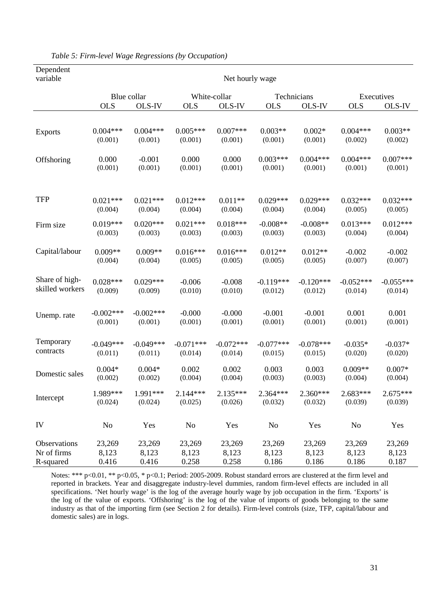| Dependent       |                 |             |                |              |                |             |                |             |  |
|-----------------|-----------------|-------------|----------------|--------------|----------------|-------------|----------------|-------------|--|
| variable        | Net hourly wage |             |                |              |                |             |                |             |  |
|                 | Blue collar     |             |                | White-collar |                | Technicians |                | Executives  |  |
|                 | <b>OLS</b>      | OLS-IV      | <b>OLS</b>     | OLS-IV       | <b>OLS</b>     | OLS-IV      | <b>OLS</b>     | OLS-IV      |  |
|                 |                 |             |                |              |                |             |                |             |  |
| <b>Exports</b>  | $0.004***$      | $0.004***$  | $0.005***$     | $0.007***$   | $0.003**$      | $0.002*$    | $0.004***$     | $0.003**$   |  |
|                 | (0.001)         | (0.001)     | (0.001)        | (0.001)      | (0.001)        | (0.001)     | (0.002)        | (0.002)     |  |
| Offshoring      | 0.000           | $-0.001$    | 0.000          | 0.000        | $0.003***$     | $0.004***$  | $0.004***$     | $0.007***$  |  |
|                 | (0.001)         | (0.001)     | (0.001)        | (0.001)      | (0.001)        | (0.001)     | (0.001)        | (0.001)     |  |
| <b>TFP</b>      | $0.021***$      | $0.021***$  | $0.012***$     | $0.011**$    | $0.029***$     | $0.029***$  | $0.032***$     | $0.032***$  |  |
|                 | (0.004)         | (0.004)     | (0.004)        | (0.004)      | (0.004)        | (0.004)     | (0.005)        | (0.005)     |  |
| Firm size       | $0.019***$      | $0.020***$  | $0.021***$     | $0.018***$   | $-0.008**$     | $-0.008**$  | $0.013***$     | $0.012***$  |  |
|                 | (0.003)         | (0.003)     | (0.003)        | (0.003)      | (0.003)        | (0.003)     | (0.004)        | (0.004)     |  |
| Capital/labour  | $0.009**$       | $0.009**$   | $0.016***$     | $0.016***$   | $0.012**$      | $0.012**$   | $-0.002$       | $-0.002$    |  |
|                 | (0.004)         | (0.004)     | (0.005)        | (0.005)      | (0.005)        | (0.005)     | (0.007)        | (0.007)     |  |
| Share of high-  | $0.028***$      | $0.029***$  | $-0.006$       | $-0.008$     | $-0.119***$    | $-0.120***$ | $-0.052***$    | $-0.055***$ |  |
| skilled workers | (0.009)         | (0.009)     | (0.010)        | (0.010)      | (0.012)        | (0.012)     | (0.014)        | (0.014)     |  |
| Unemp. rate     | $-0.002***$     | $-0.002***$ | $-0.000$       | $-0.000$     | $-0.001$       | $-0.001$    | 0.001          | 0.001       |  |
|                 | (0.001)         | (0.001)     | (0.001)        | (0.001)      | (0.001)        | (0.001)     | (0.001)        | (0.001)     |  |
| Temporary       | $-0.049***$     | $-0.049***$ | $-0.071***$    | $-0.072***$  | $-0.077***$    | $-0.078***$ | $-0.035*$      | $-0.037*$   |  |
| contracts       | (0.011)         | (0.011)     | (0.014)        | (0.014)      | (0.015)        | (0.015)     | (0.020)        | (0.020)     |  |
| Domestic sales  | $0.004*$        | $0.004*$    | 0.002          | 0.002        | 0.003          | 0.003       | $0.009**$      | $0.007*$    |  |
|                 | (0.002)         | (0.002)     | (0.004)        | (0.004)      | (0.003)        | (0.003)     | (0.004)        | (0.004)     |  |
| Intercept       | 1.989***        | 1.991***    | $2.144***$     | $2.135***$   | $2.364***$     | $2.360***$  | $2.683***$     | $2.675***$  |  |
|                 | (0.024)         | (0.024)     | (0.025)        | (0.026)      | (0.032)        | (0.032)     | (0.039)        | (0.039)     |  |
| IV              | N <sub>0</sub>  | Yes         | N <sub>0</sub> | Yes          | N <sub>0</sub> | Yes         | N <sub>0</sub> | Yes         |  |
| Observations    | 23,269          | 23,269      | 23,269         | 23,269       | 23,269         | 23,269      | 23,269         | 23,269      |  |
| Nr of firms     | 8,123           | 8,123       | 8,123          | 8,123        | 8,123          | 8,123       | 8,123          | 8,123       |  |
| R-squared       | 0.416           | 0.416       | 0.258          | 0.258        | 0.186          | 0.186       | 0.186          | 0.187       |  |

*Table 5: Firm-level Wage Regressions (by Occupation)* 

Notes: \*\*\* p<0.01, \*\* p<0.05, \* p<0.1; Period: 2005-2009. Robust standard errors are clustered at the firm level and reported in brackets. Year and disaggregate industry-level dummies, random firm-level effects are included in all specifications. 'Net hourly wage' is the log of the average hourly wage by job occupation in the firm. 'Exports' is the log of the value of exports. 'Offshoring' is the log of the value of imports of goods belonging to the same industry as that of the importing firm (see Section 2 for details). Firm-level controls (size, TFP, capital/labour and domestic sales) are in logs.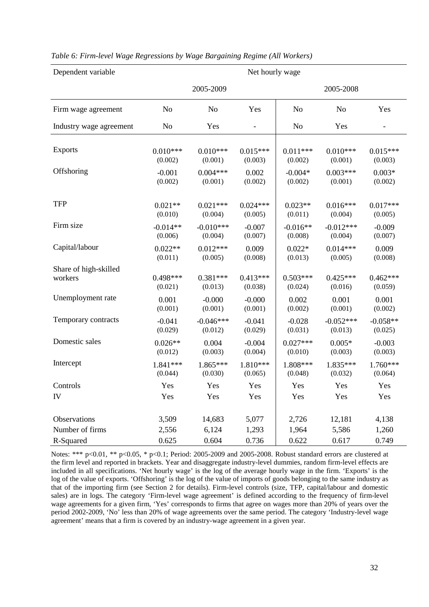| Dependent variable      |            | Net hourly wage |                          |                |                |                          |  |
|-------------------------|------------|-----------------|--------------------------|----------------|----------------|--------------------------|--|
|                         |            | 2005-2009       |                          |                | 2005-2008      |                          |  |
| Firm wage agreement     | No         | N <sub>o</sub>  | Yes                      | N <sub>o</sub> | N <sub>o</sub> | Yes                      |  |
| Industry wage agreement | No         | Yes             | $\overline{\phantom{a}}$ | N <sub>o</sub> | Yes            | $\overline{\phantom{0}}$ |  |
| <b>Exports</b>          | $0.010***$ | $0.010***$      | $0.015***$               | $0.011***$     | $0.010***$     | $0.015***$               |  |
|                         | (0.002)    | (0.001)         | (0.003)                  | (0.002)        | (0.001)        | (0.003)                  |  |
| Offshoring              | $-0.001$   | $0.004***$      | 0.002                    | $-0.004*$      | $0.003***$     | $0.003*$                 |  |
|                         | (0.002)    | (0.001)         | (0.002)                  | (0.002)        | (0.001)        | (0.002)                  |  |
| <b>TFP</b>              | $0.021**$  | $0.021***$      | $0.024***$               | $0.023**$      | $0.016***$     | $0.017***$               |  |
|                         | (0.010)    | (0.004)         | (0.005)                  | (0.011)        | (0.004)        | (0.005)                  |  |
| Firm size               | $-0.014**$ | $-0.010***$     | $-0.007$                 | $-0.016**$     | $-0.012***$    | $-0.009$                 |  |
|                         | (0.006)    | (0.004)         | (0.007)                  | (0.008)        | (0.004)        | (0.007)                  |  |
| Capital/labour          | $0.022**$  | $0.012***$      | 0.009                    | $0.022*$       | $0.014***$     | 0.009                    |  |
|                         | (0.011)    | (0.005)         | (0.008)                  | (0.013)        | (0.005)        | (0.008)                  |  |
| Share of high-skilled   |            |                 |                          |                |                |                          |  |
| workers                 | $0.498***$ | $0.381***$      | $0.413***$               | $0.503***$     | $0.425***$     | $0.462***$               |  |
|                         | (0.021)    | (0.013)         | (0.038)                  | (0.024)        | (0.016)        | (0.059)                  |  |
| Unemployment rate       | 0.001      | $-0.000$        | $-0.000$                 | 0.002          | 0.001          | 0.001                    |  |
|                         | (0.001)    | (0.001)         | (0.001)                  | (0.002)        | (0.001)        | (0.002)                  |  |
| Temporary contracts     | $-0.041$   | $-0.046***$     | $-0.041$                 | $-0.028$       | $-0.052***$    | $-0.058**$               |  |
|                         | (0.029)    | (0.012)         | (0.029)                  | (0.031)        | (0.013)        | (0.025)                  |  |
| Domestic sales          | $0.026**$  | 0.004           | $-0.004$                 | $0.027***$     | $0.005*$       | $-0.003$                 |  |
|                         | (0.012)    | (0.003)         | (0.004)                  | (0.010)        | (0.003)        | (0.003)                  |  |
| Intercept               | 1.841 ***  | $1.865***$      | 1.810***                 | 1.808***       | 1.835***       | $1.760***$               |  |
|                         | (0.044)    | (0.030)         | (0.065)                  | (0.048)        | (0.032)        | (0.064)                  |  |
| Controls                | Yes        | Yes             | Yes                      | Yes            | Yes            | Yes                      |  |
| IV                      | Yes        | Yes             | Yes                      | Yes            | Yes            | Yes                      |  |
| Observations            | 3,509      | 14,683          | 5,077                    | 2,726          | 12,181         | 4,138                    |  |
| Number of firms         | 2,556      | 6,124           | 1,293                    | 1,964          | 5,586          | 1,260                    |  |
| R-Squared               | 0.625      | 0.604           | 0.736                    | 0.622          | 0.617          | 0.749                    |  |

# *Table 6: Firm-level Wage Regressions by Wage Bargaining Regime (All Workers)*

Notes: \*\*\* p<0.01, \*\* p<0.05, \* p<0.1; Period: 2005-2009 and 2005-2008. Robust standard errors are clustered at the firm level and reported in brackets. Year and disaggregate industry-level dummies, random firm-level effects are included in all specifications. 'Net hourly wage' is the log of the average hourly wage in the firm. 'Exports' is the log of the value of exports. 'Offshoring' is the log of the value of imports of goods belonging to the same industry as that of the importing firm (see Section 2 for details). Firm-level controls (size, TFP, capital/labour and domestic sales) are in logs. The category 'Firm-level wage agreement' is defined according to the frequency of firm-level wage agreements for a given firm, 'Yes' corresponds to firms that agree on wages more than 20% of years over the period 2002-2009, 'No' less than 20% of wage agreements over the same period. The category 'Industry-level wage agreement' means that a firm is covered by an industry-wage agreement in a given year.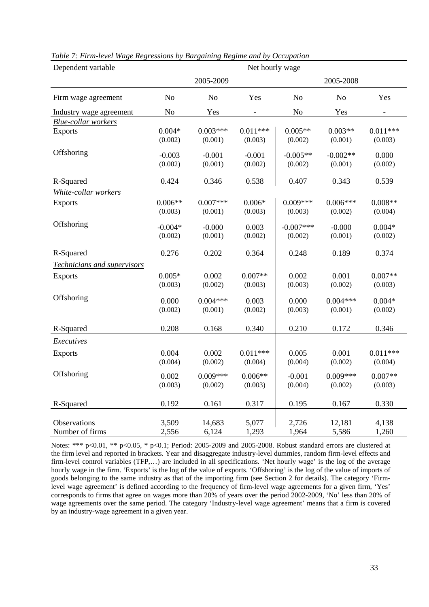| Dependent variable              | Net hourly wage |                 |                |                |                 |                |  |
|---------------------------------|-----------------|-----------------|----------------|----------------|-----------------|----------------|--|
|                                 |                 | 2005-2009       |                | 2005-2008      |                 |                |  |
| Firm wage agreement             | N <sub>o</sub>  | N <sub>o</sub>  | Yes            | N <sub>o</sub> | N <sub>o</sub>  | Yes            |  |
| Industry wage agreement         | N <sub>o</sub>  | Yes             |                | N <sub>o</sub> | Yes             |                |  |
| <b>Blue-collar workers</b>      |                 |                 |                |                |                 |                |  |
| Exports                         | $0.004*$        | $0.003***$      | $0.011***$     | $0.005**$      | $0.003**$       | $0.011***$     |  |
|                                 | (0.002)         | (0.001)         | (0.003)        | (0.002)        | (0.001)         | (0.003)        |  |
| Offshoring                      | $-0.003$        | $-0.001$        | $-0.001$       | $-0.005**$     | $-0.002**$      | 0.000          |  |
|                                 | (0.002)         | (0.001)         | (0.002)        | (0.002)        | (0.001)         | (0.002)        |  |
|                                 |                 |                 |                |                |                 |                |  |
| R-Squared                       | 0.424           | 0.346           | 0.538          | 0.407          | 0.343           | 0.539          |  |
| White-collar workers            |                 |                 |                |                |                 |                |  |
| <b>Exports</b>                  | $0.006**$       | $0.007***$      | $0.006*$       | $0.009***$     | $0.006***$      | $0.008**$      |  |
|                                 | (0.003)         | (0.001)         | (0.003)        | (0.003)        | (0.002)         | (0.004)        |  |
| Offshoring                      | $-0.004*$       | $-0.000$        | 0.003          | $-0.007***$    | $-0.000$        | $0.004*$       |  |
|                                 | (0.002)         | (0.001)         | (0.002)        | (0.002)        | (0.001)         | (0.002)        |  |
|                                 |                 |                 |                |                |                 |                |  |
| R-Squared                       | 0.276           | 0.202           | 0.364          | 0.248          | 0.189           | 0.374          |  |
| Technicians and supervisors     |                 |                 |                |                |                 |                |  |
| <b>Exports</b>                  | $0.005*$        | 0.002           | $0.007**$      | 0.002          | 0.001           | $0.007**$      |  |
|                                 | (0.003)         | (0.002)         | (0.003)        | (0.003)        | (0.002)         | (0.003)        |  |
| Offshoring                      | 0.000           | $0.004***$      | 0.003          | 0.000          | $0.004***$      | $0.004*$       |  |
|                                 | (0.002)         | (0.001)         | (0.002)        | (0.003)        | (0.001)         | (0.002)        |  |
|                                 |                 |                 |                |                |                 |                |  |
| R-Squared                       | 0.208           | 0.168           | 0.340          | 0.210          | 0.172           | 0.346          |  |
| <b>Executives</b>               |                 |                 |                |                |                 |                |  |
| <b>Exports</b>                  | 0.004           | 0.002           | $0.011***$     | 0.005          | 0.001           | $0.011***$     |  |
|                                 | (0.004)         | (0.002)         | (0.004)        | (0.004)        | (0.002)         | (0.004)        |  |
| Offshoring                      | 0.002           | $0.009***$      | $0.006**$      | $-0.001$       | $0.009***$      | $0.007**$      |  |
|                                 | (0.003)         | (0.002)         | (0.003)        | (0.004)        | (0.002)         | (0.003)        |  |
|                                 |                 |                 |                |                |                 |                |  |
| R-Squared                       | 0.192           | 0.161           | 0.317          | 0.195          | 0.167           | 0.330          |  |
|                                 |                 |                 |                |                |                 |                |  |
| Observations<br>Number of firms | 3,509<br>2,556  | 14,683<br>6,124 | 5,077<br>1,293 | 2,726<br>1,964 | 12,181<br>5,586 | 4,138<br>1,260 |  |
|                                 |                 |                 |                |                |                 |                |  |

*Table 7: Firm-level Wage Regressions by Bargaining Regime and by Occupation* 

Notes: \*\*\* p<0.01, \*\* p<0.05, \* p<0.1; Period: 2005-2009 and 2005-2008. Robust standard errors are clustered at the firm level and reported in brackets. Year and disaggregate industry-level dummies, random firm-level effects and firm-level control variables (TFP,…) are included in all specifications. 'Net hourly wage' is the log of the average hourly wage in the firm. 'Exports' is the log of the value of exports. 'Offshoring' is the log of the value of imports of goods belonging to the same industry as that of the importing firm (see Section 2 for details). The category 'Firmlevel wage agreement' is defined according to the frequency of firm-level wage agreements for a given firm, 'Yes' corresponds to firms that agree on wages more than 20% of years over the period 2002-2009, 'No' less than 20% of wage agreements over the same period. The category 'Industry-level wage agreement' means that a firm is covered by an industry-wage agreement in a given year.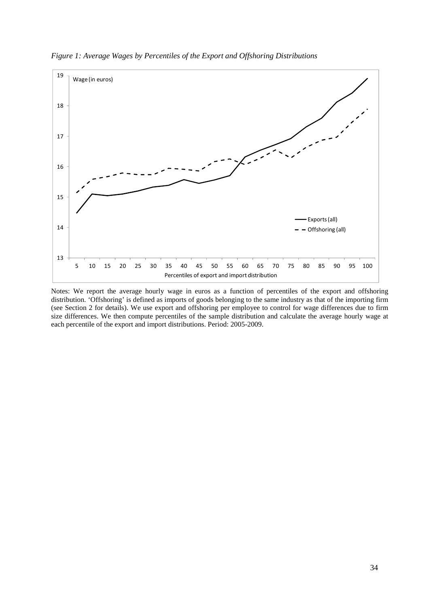

*Figure 1: Average Wages by Percentiles of the Export and Offshoring Distributions* 

Notes: We report the average hourly wage in euros as a function of percentiles of the export and offshoring distribution. 'Offshoring' is defined as imports of goods belonging to the same industry as that of the importing firm (see Section 2 for details). We use export and offshoring per employee to control for wage differences due to firm size differences. We then compute percentiles of the sample distribution and calculate the average hourly wage at each percentile of the export and import distributions. Period: 2005-2009.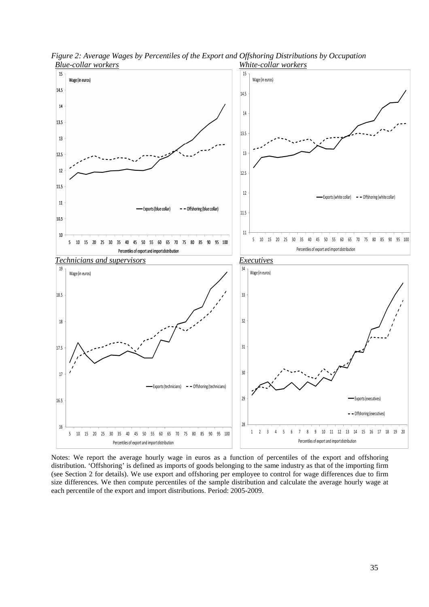

*Figure 2: Average Wages by Percentiles of the Export and Offshoring Distributions by Occupation Blue-collar workers White-collar workers*

Notes: We report the average hourly wage in euros as a function of percentiles of the export and offshoring distribution. 'Offshoring' is defined as imports of goods belonging to the same industry as that of the importing firm (see Section 2 for details). We use export and offshoring per employee to control for wage differences due to firm size differences. We then compute percentiles of the sample distribution and calculate the average hourly wage at each percentile of the export and import distributions. Period: 2005-2009.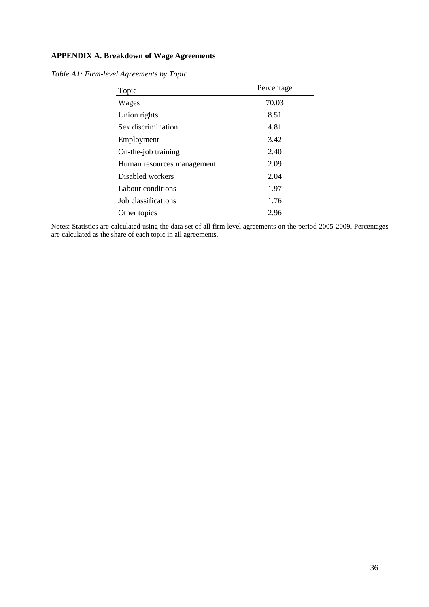# **APPENDIX A. Breakdown of Wage Agreements**

| Topic                      | Percentage |
|----------------------------|------------|
| Wages                      | 70.03      |
| Union rights               | 8.51       |
| Sex discrimination         | 4.81       |
| Employment                 | 3.42       |
| On-the-job training        | 2.40       |
| Human resources management | 2.09       |
| Disabled workers           | 2.04       |
| Labour conditions          | 1.97       |
| Job classifications        | 1.76       |
| Other topics               | 2.96       |

*Table A1: Firm-level Agreements by Topic* 

Notes: Statistics are calculated using the data set of all firm level agreements on the period 2005-2009. Percentages are calculated as the share of each topic in all agreements.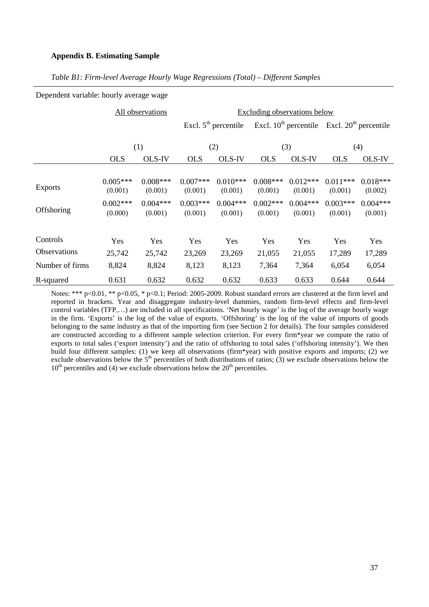#### **Appendix B. Estimating Sample**

Dependent variable: hourly average wage

|                     |                       | All observations      | Excluding observations below |                        |                       |                       |                       |                                                       |  |
|---------------------|-----------------------|-----------------------|------------------------------|------------------------|-----------------------|-----------------------|-----------------------|-------------------------------------------------------|--|
|                     |                       |                       |                              | Excl. $5th$ percentile |                       |                       |                       | Excl. $10^{th}$ percentile Excl. $20^{th}$ percentile |  |
|                     | (1)                   |                       | (2)                          |                        | (3)                   |                       | (4)                   |                                                       |  |
|                     | <b>OLS</b>            | <b>OLS-IV</b>         | <b>OLS</b>                   | <b>OLS-IV</b>          | <b>OLS</b>            | <b>OLS-IV</b>         | <b>OLS</b>            | <b>OLS-IV</b>                                         |  |
| <b>Exports</b>      | $0.005***$<br>(0.001) | $0.008***$<br>(0.001) | $0.007***$<br>(0.001)        | $0.010***$<br>(0.001)  | $0.008***$<br>(0.001) | $0.012***$<br>(0.001) | $0.011***$<br>(0.001) | $0.018***$<br>(0.002)                                 |  |
| Offshoring          | $0.002***$<br>(0.000) | $0.004***$<br>(0.001) | $0.003***$<br>(0.001)        | $0.004***$<br>(0.001)  | $0.002***$<br>(0.001) | $0.004***$<br>(0.001) | $0.003***$<br>(0.001) | $0.004***$<br>(0.001)                                 |  |
| Controls            | Yes                   | Yes                   | Yes                          | Yes                    | Yes                   | Yes                   | Yes                   | Yes                                                   |  |
| <b>Observations</b> | 25,742                | 25,742                | 23,269                       | 23,269                 | 21,055                | 21,055                | 17,289                | 17,289                                                |  |
| Number of firms     | 8,824                 | 8,824                 | 8,123                        | 8,123                  | 7,364                 | 7,364                 | 6,054                 | 6,054                                                 |  |
| R-squared           | 0.631                 | 0.632                 | 0.632                        | 0.632                  | 0.633                 | 0.633                 | 0.644                 | 0.644                                                 |  |

## *Table B1: Firm-level Average Hourly Wage Regressions (Total) – Different Samples*

Notes: \*\*\* p<0.01, \*\* p<0.05, \* p<0.1; Period: 2005-2009. Robust standard errors are clustered at the firm level and reported in brackets. Year and disaggregate industry-level dummies, random firm-level effects and firm-level control variables (TFP,…) are included in all specifications. 'Net hourly wage' is the log of the average hourly wage in the firm. 'Exports' is the log of the value of exports. 'Offshoring' is the log of the value of imports of goods belonging to the same industry as that of the importing firm (see Section 2 for details). The four samples considered are constructed according to a different sample selection criterion. For every firm\*year we compute the ratio of exports to total sales ('export intensity') and the ratio of offshoring to total sales ('offshoring intensity'). We then build four different samples: (1) we keep all observations (firm\*year) with positive exports and imports; (2) we exclude observations below the  $5<sup>th</sup>$  percentiles of both distributions of ratios; (3) we exclude observations below the  $10^{th}$  percentiles and (4) we exclude observations below the  $20^{th}$  percentiles.

37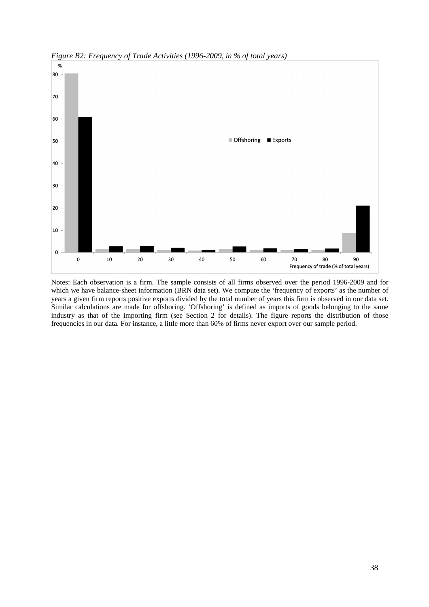

*Figure B2: Frequency of Trade Activities (1996-2009, in % of total years)* 

Notes: Each observation is a firm. The sample consists of all firms observed over the period 1996-2009 and for which we have balance-sheet information (BRN data set). We compute the 'frequency of exports' as the number of years a given firm reports positive exports divided by the total number of years this firm is observed in our data set. Similar calculations are made for offshoring. 'Offshoring' is defined as imports of goods belonging to the same industry as that of the importing firm (see Section 2 for details). The figure reports the distribution of those frequencies in our data. For instance, a little more than 60% of firms never export over our sample period.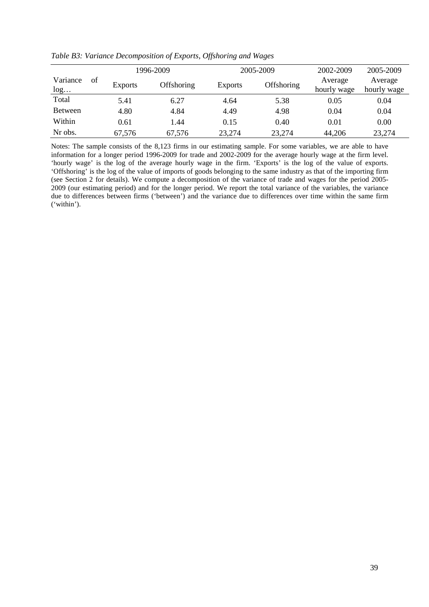|                       |                | 1996-2009  |                | 2005-2009  | 2002-2009              | 2005-2009              |
|-----------------------|----------------|------------|----------------|------------|------------------------|------------------------|
| Variance<br>of<br>log | <b>Exports</b> | Offshoring | <b>Exports</b> | Offshoring | Average<br>hourly wage | Average<br>hourly wage |
| Total                 | 5.41           | 6.27       | 4.64           | 5.38       | 0.05                   | 0.04                   |
| <b>Between</b>        | 4.80           | 4.84       | 4.49           | 4.98       | 0.04                   | 0.04                   |
| Within                | 0.61           | 1.44       | 0.15           | 0.40       | 0.01                   | 0.00                   |
| Nr obs.               | 67,576         | 67,576     | 23,274         | 23,274     | 44,206                 | 23,274                 |

*Table B3: Variance Decomposition of Exports, Offshoring and Wages* 

Notes: The sample consists of the 8,123 firms in our estimating sample. For some variables, we are able to have information for a longer period 1996-2009 for trade and 2002-2009 for the average hourly wage at the firm level. 'hourly wage' is the log of the average hourly wage in the firm. 'Exports' is the log of the value of exports. 'Offshoring' is the log of the value of imports of goods belonging to the same industry as that of the importing firm (see Section 2 for details). We compute a decomposition of the variance of trade and wages for the period 2005- 2009 (our estimating period) and for the longer period. We report the total variance of the variables, the variance due to differences between firms ('between') and the variance due to differences over time within the same firm ('within').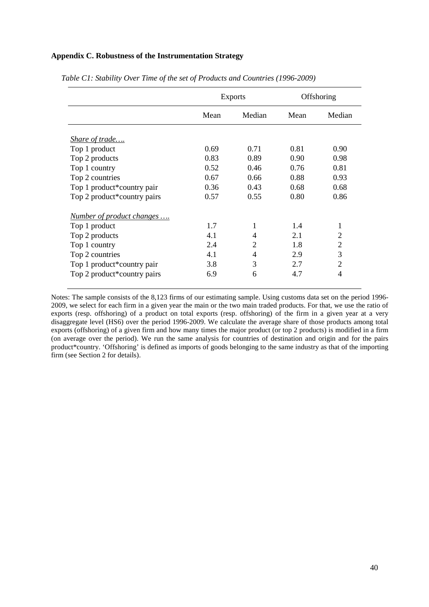# **Appendix C. Robustness of the Instrumentation Strategy**

|                             |      | <b>Exports</b> | Offshoring |                |
|-----------------------------|------|----------------|------------|----------------|
|                             | Mean | Median         | Mean       | Median         |
| <i>Share of trade</i>       |      |                |            |                |
| Top 1 product               | 0.69 | 0.71           | 0.81       | 0.90           |
| Top 2 products              | 0.83 | 0.89           | 0.90       | 0.98           |
| Top 1 country               | 0.52 | 0.46           | 0.76       | 0.81           |
| Top 2 countries             | 0.67 | 0.66           | 0.88       | 0.93           |
| Top 1 product*country pair  | 0.36 | 0.43           | 0.68       | 0.68           |
| Top 2 product*country pairs | 0.57 | 0.55           | 0.80       | 0.86           |
| Number of product changes   |      |                |            |                |
| Top 1 product               | 1.7  |                | 1.4        | 1              |
| Top 2 products              | 4.1  | 4              | 2.1        | 2              |
| Top 1 country               | 2.4  | 2              | 1.8        | 2              |
| Top 2 countries             | 4.1  | 4              | 2.9        | 3              |
| Top 1 product*country pair  | 3.8  | 3              | 2.7        | $\overline{2}$ |
| Top 2 product*country pairs | 6.9  | 6              | 4.7        | 4              |

*Table C1: Stability Over Time of the set of Products and Countries (1996-2009)* 

Notes: The sample consists of the 8,123 firms of our estimating sample. Using customs data set on the period 1996- 2009, we select for each firm in a given year the main or the two main traded products. For that, we use the ratio of exports (resp. offshoring) of a product on total exports (resp. offshoring) of the firm in a given year at a very disaggregate level (HS6) over the period 1996-2009. We calculate the average share of those products among total exports (offshoring) of a given firm and how many times the major product (or top 2 products) is modified in a firm (on average over the period). We run the same analysis for countries of destination and origin and for the pairs product\*country. 'Offshoring' is defined as imports of goods belonging to the same industry as that of the importing firm (see Section 2 for details).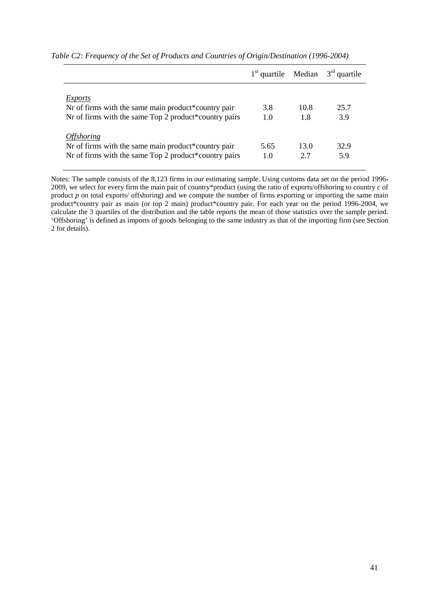|                                                       |      |      | $1st$ quartile Median $3rd$ quartile |
|-------------------------------------------------------|------|------|--------------------------------------|
| Exports                                               |      |      |                                      |
| Nr of firms with the same main product*country pair   | 3.8  | 10.8 | 25.7                                 |
| Nr of firms with the same Top 2 product*country pairs | 1.0  | 1.8  | 3.9                                  |
| <i><b>Offshoring</b></i>                              |      |      |                                      |
| Nr of firms with the same main product*country pair   | 5.65 | 13.0 | 32.9                                 |
| Nr of firms with the same Top 2 product*country pairs | 1.0  | 2.7  | 5.9                                  |

*Table C2: Frequency of the Set of Products and Countries of Origin/Destination (1996-2004)* 

Notes: The sample consists of the 8,123 firms in our estimating sample. Using customs data set on the period 1996- 2009, we select for every firm the main pair of country\*product (using the ratio of exports/offshoring to country *c* of product *p* on total exports/ offshoring) and we compute the number of firms exporting or importing the same main product\*country pair as main (or top 2 main) product\*country pair. For each year on the period 1996-2004, we calculate the 3 quartiles of the distribution and the table reports the mean of those statistics over the sample period. 'Offshoring' is defined as imports of goods belonging to the same industry as that of the importing firm (see Section 2 for details).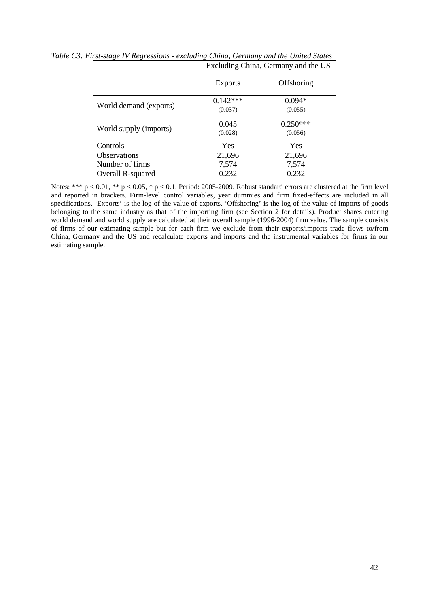|                        | <b>Exports</b>        | Offshoring            |
|------------------------|-----------------------|-----------------------|
| World demand (exports) | $0.142***$<br>(0.037) | $0.094*$<br>(0.055)   |
|                        |                       |                       |
| World supply (imports) | 0.045<br>(0.028)      | $0.250***$<br>(0.056) |
| Controls               | Yes                   | Yes                   |
| <b>Observations</b>    | 21,696                | 21,696                |
| Number of firms        | 7,574                 | 7,574                 |
| Overall R-squared      | 0.232                 | 0.232                 |

*Table C3: First-stage IV Regressions - excluding China, Germany and the United States*  Excluding China, Germany and the US

Notes: \*\*\* p < 0.01, \*\* p < 0.05, \* p < 0.1. Period: 2005-2009. Robust standard errors are clustered at the firm level and reported in brackets. Firm-level control variables, year dummies and firm fixed-effects are included in all specifications. 'Exports' is the log of the value of exports. 'Offshoring' is the log of the value of imports of goods belonging to the same industry as that of the importing firm (see Section 2 for details). Product shares entering world demand and world supply are calculated at their overall sample (1996-2004) firm value. The sample consists of firms of our estimating sample but for each firm we exclude from their exports/imports trade flows to/from China, Germany and the US and recalculate exports and imports and the instrumental variables for firms in our estimating sample.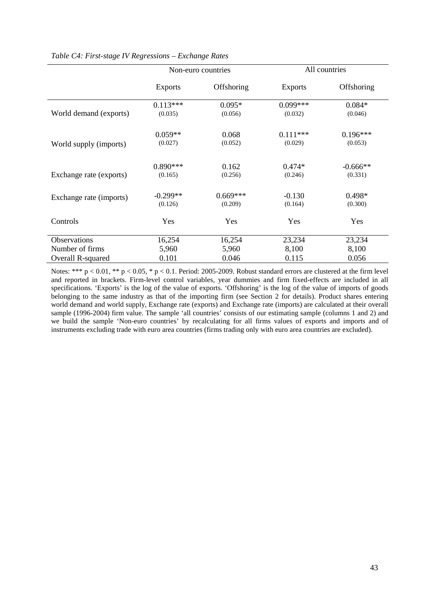|                         |                       | Non-euro countries    |                     | All countries       |
|-------------------------|-----------------------|-----------------------|---------------------|---------------------|
|                         | <b>Exports</b>        | Offshoring            | <b>Exports</b>      | Offshoring          |
|                         | $0.113***$            | $0.095*$              | $0.099***$          | $0.084*$            |
| World demand (exports)  | (0.035)               | (0.056)               | (0.032)             | (0.046)             |
|                         | $0.059**$             | 0.068                 | $0.111***$          | $0.196***$          |
| World supply (imports)  | (0.027)               | (0.052)               | (0.029)             | (0.053)             |
|                         | $0.890***$            | 0.162                 | $0.474*$            | $-0.666**$          |
| Exchange rate (exports) | (0.165)               | (0.256)               | (0.246)             | (0.331)             |
| Exchange rate (imports) | $-0.299**$<br>(0.126) | $0.669***$<br>(0.209) | $-0.130$<br>(0.164) | $0.498*$<br>(0.300) |
| Controls                | Yes                   | Yes                   | Yes                 | Yes                 |
| Observations            | 16,254                | 16,254                | 23,234              | 23,234              |
| Number of firms         | 5,960                 | 5,960                 | 8,100               | 8,100               |
| Overall R-squared       | 0.101                 | 0.046                 | 0.115               | 0.056               |

# *Table C4: First-stage IV Regressions – Exchange Rates*

Notes: \*\*\* p < 0.01, \*\* p < 0.05, \* p < 0.1. Period: 2005-2009. Robust standard errors are clustered at the firm level and reported in brackets. Firm-level control variables, year dummies and firm fixed-effects are included in all specifications. 'Exports' is the log of the value of exports. 'Offshoring' is the log of the value of imports of goods belonging to the same industry as that of the importing firm (see Section 2 for details). Product shares entering world demand and world supply, Exchange rate (exports) and Exchange rate (imports) are calculated at their overall sample (1996-2004) firm value. The sample 'all countries' consists of our estimating sample (columns 1 and 2) and we build the sample 'Non-euro countries' by recalculating for all firms values of exports and imports and of instruments excluding trade with euro area countries (firms trading only with euro area countries are excluded).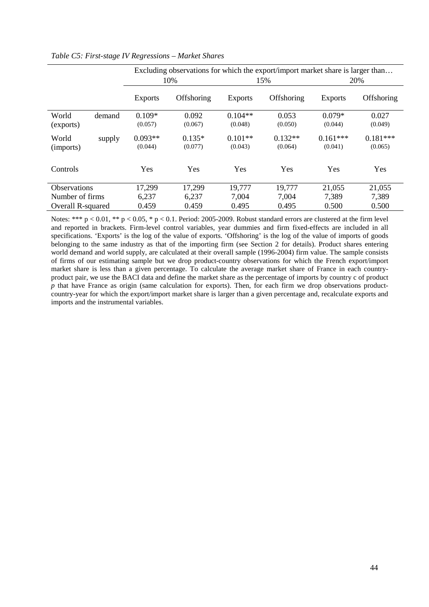|                     |        | Excluding observations for which the export/import market share is larger than |            |                |            |                |            |  |
|---------------------|--------|--------------------------------------------------------------------------------|------------|----------------|------------|----------------|------------|--|
|                     |        |                                                                                | 10%        |                | 15%        |                | 20%        |  |
|                     |        | <b>Exports</b>                                                                 | Offshoring | <b>Exports</b> | Offshoring | <b>Exports</b> | Offshoring |  |
| World               | demand | $0.109*$                                                                       | 0.092      | $0.104**$      | 0.053      | $0.079*$       | 0.027      |  |
| (exports)           |        | (0.057)                                                                        | (0.067)    | (0.048)        | (0.050)    | (0.044)        | (0.049)    |  |
| World               | supply | $0.093**$                                                                      | $0.135*$   | $0.101**$      | $0.132**$  | $0.161***$     | $0.181***$ |  |
| (imports)           |        | (0.044)                                                                        | (0.077)    | (0.043)        | (0.064)    | (0.041)        | (0.065)    |  |
| Controls            |        | Yes                                                                            | Yes        | Yes            | Yes        | Yes            | Yes        |  |
| <b>Observations</b> |        | 17,299                                                                         | 17,299     | 19,777         | 19,777     | 21,055         | 21,055     |  |
| Number of firms     |        | 6,237                                                                          | 6,237      | 7,004          | 7,004      | 7,389          | 7,389      |  |
| Overall R-squared   |        | 0.459                                                                          | 0.459      | 0.495          | 0.495      | 0.500          | 0.500      |  |

#### *Table C5: First-stage IV Regressions – Market Shares*

Notes: \*\*\*  $p < 0.01$ , \*\*  $p < 0.05$ , \*  $p < 0.1$ . Period: 2005-2009. Robust standard errors are clustered at the firm level and reported in brackets. Firm-level control variables, year dummies and firm fixed-effects are included in all specifications. 'Exports' is the log of the value of exports. 'Offshoring' is the log of the value of imports of goods belonging to the same industry as that of the importing firm (see Section 2 for details). Product shares entering world demand and world supply, are calculated at their overall sample (1996-2004) firm value. The sample consists of firms of our estimating sample but we drop product-country observations for which the French export/import market share is less than a given percentage. To calculate the average market share of France in each countryproduct pair, we use the BACI data and define the market share as the percentage of imports by country c of product *p* that have France as origin (same calculation for exports). Then, for each firm we drop observations productcountry-year for which the export/import market share is larger than a given percentage and, recalculate exports and imports and the instrumental variables.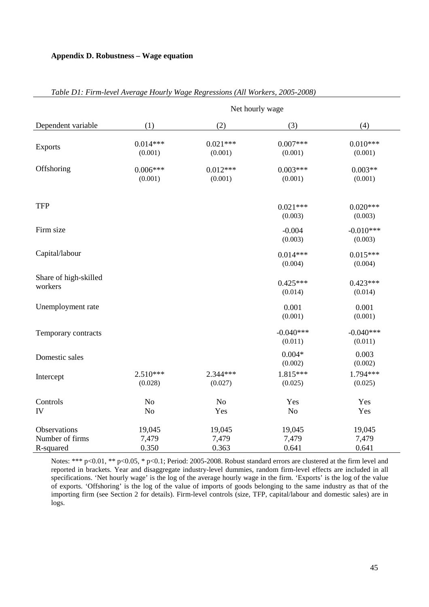# **Appendix D. Robustness – Wage equation**

|                                              | Net hourly wage          |                          |                          |                          |  |  |  |
|----------------------------------------------|--------------------------|--------------------------|--------------------------|--------------------------|--|--|--|
| Dependent variable                           | (1)                      | (2)                      | (3)                      | (4)                      |  |  |  |
| <b>Exports</b>                               | $0.014***$<br>(0.001)    | $0.021***$<br>(0.001)    | $0.007***$<br>(0.001)    | $0.010***$<br>(0.001)    |  |  |  |
| Offshoring                                   | $0.006***$<br>(0.001)    | $0.012***$<br>(0.001)    | $0.003***$<br>(0.001)    | $0.003**$<br>(0.001)     |  |  |  |
| <b>TFP</b>                                   |                          |                          | $0.021***$<br>(0.003)    | $0.020***$<br>(0.003)    |  |  |  |
| Firm size                                    |                          |                          | $-0.004$<br>(0.003)      | $-0.010***$<br>(0.003)   |  |  |  |
| Capital/labour                               |                          |                          | $0.014***$<br>(0.004)    | $0.015***$<br>(0.004)    |  |  |  |
| Share of high-skilled<br>workers             |                          |                          | $0.425***$<br>(0.014)    | $0.423***$<br>(0.014)    |  |  |  |
| Unemployment rate                            |                          |                          | 0.001<br>(0.001)         | 0.001<br>(0.001)         |  |  |  |
| Temporary contracts                          |                          |                          | $-0.040***$<br>(0.011)   | $-0.040***$<br>(0.011)   |  |  |  |
| Domestic sales                               |                          |                          | $0.004*$<br>(0.002)      | 0.003<br>(0.002)         |  |  |  |
| Intercept                                    | $2.510***$<br>(0.028)    | 2.344***<br>(0.027)      | 1.815***<br>(0.025)      | 1.794***<br>(0.025)      |  |  |  |
| Controls<br>IV                               | No<br>No                 | N <sub>o</sub><br>Yes    | Yes<br>No                | Yes<br>Yes               |  |  |  |
| Observations<br>Number of firms<br>R-squared | 19,045<br>7,479<br>0.350 | 19,045<br>7,479<br>0.363 | 19,045<br>7,479<br>0.641 | 19,045<br>7,479<br>0.641 |  |  |  |

# *Table D1: Firm-level Average Hourly Wage Regressions (All Workers, 2005-2008)*

Notes: \*\*\* p<0.01, \*\* p<0.05, \* p<0.1; Period: 2005-2008. Robust standard errors are clustered at the firm level and reported in brackets. Year and disaggregate industry-level dummies, random firm-level effects are included in all specifications. 'Net hourly wage' is the log of the average hourly wage in the firm. 'Exports' is the log of the value of exports. 'Offshoring' is the log of the value of imports of goods belonging to the same industry as that of the importing firm (see Section 2 for details). Firm-level controls (size, TFP, capital/labour and domestic sales) are in logs.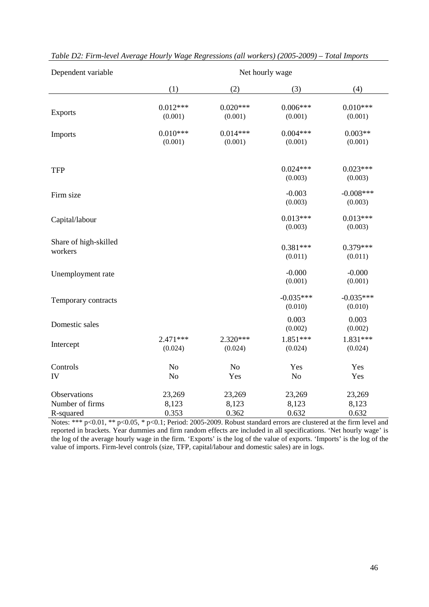| Dependent variable                           | Net hourly wage                  |                          |                          |                          |  |  |
|----------------------------------------------|----------------------------------|--------------------------|--------------------------|--------------------------|--|--|
|                                              | (1)                              | (2)                      | (3)                      | (4)                      |  |  |
| <b>Exports</b>                               | $0.012***$<br>(0.001)            | $0.020***$<br>(0.001)    | $0.006***$<br>(0.001)    | $0.010***$<br>(0.001)    |  |  |
| Imports                                      | $0.010***$<br>(0.001)            | $0.014***$<br>(0.001)    | $0.004***$<br>(0.001)    | $0.003**$<br>(0.001)     |  |  |
| <b>TFP</b>                                   |                                  |                          | $0.024***$<br>(0.003)    | $0.023***$<br>(0.003)    |  |  |
| Firm size                                    |                                  |                          | $-0.003$<br>(0.003)      | $-0.008***$<br>(0.003)   |  |  |
| Capital/labour                               |                                  |                          | $0.013***$<br>(0.003)    | $0.013***$<br>(0.003)    |  |  |
| Share of high-skilled<br>workers             |                                  |                          | $0.381***$<br>(0.011)    | $0.379***$<br>(0.011)    |  |  |
| Unemployment rate                            |                                  |                          | $-0.000$<br>(0.001)      | $-0.000$<br>(0.001)      |  |  |
| Temporary contracts                          |                                  |                          | $-0.035***$<br>(0.010)   | $-0.035***$<br>(0.010)   |  |  |
| Domestic sales                               |                                  |                          | 0.003<br>(0.002)         | 0.003<br>(0.002)         |  |  |
| Intercept                                    | $2.471***$<br>(0.024)            | $2.320***$<br>(0.024)    | 1.851***<br>(0.024)      | 1.831***<br>(0.024)      |  |  |
| Controls<br>IV                               | N <sub>o</sub><br>N <sub>o</sub> | N <sub>o</sub><br>Yes    | Yes<br>No                | Yes<br>Yes               |  |  |
| Observations<br>Number of firms<br>R-squared | 23,269<br>8,123<br>0.353         | 23,269<br>8,123<br>0.362 | 23,269<br>8,123<br>0.632 | 23,269<br>8,123<br>0.632 |  |  |

*Table D2: Firm-level Average Hourly Wage Regressions (all workers) (2005-2009) – Total Imports* 

Notes: \*\*\*  $p<0.01$ , \*\*  $p<0.05$ , \*  $p<0.1$ ; Period: 2005-2009. Robust standard errors are clustered at the firm level and reported in brackets. Year dummies and firm random effects are included in all specifications. 'Net hourly wage' is the log of the average hourly wage in the firm. 'Exports' is the log of the value of exports. 'Imports' is the log of the value of imports. Firm-level controls (size, TFP, capital/labour and domestic sales) are in logs.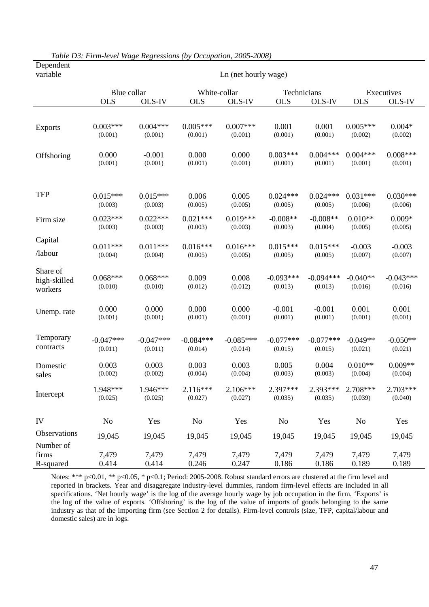| variable                            | Ln (net hourly wage)   |                        |                        |                        |                        |                        |                       |                        |
|-------------------------------------|------------------------|------------------------|------------------------|------------------------|------------------------|------------------------|-----------------------|------------------------|
|                                     | Blue collar            |                        | White-collar           |                        | Technicians            |                        |                       | Executives             |
|                                     | <b>OLS</b>             | OLS-IV                 | <b>OLS</b>             | OLS-IV                 | <b>OLS</b>             | OLS-IV                 | <b>OLS</b>            | OLS-IV                 |
|                                     |                        |                        |                        |                        |                        |                        |                       |                        |
| <b>Exports</b>                      | $0.003***$<br>(0.001)  | $0.004***$<br>(0.001)  | $0.005***$<br>(0.001)  | $0.007***$<br>(0.001)  | 0.001<br>(0.001)       | 0.001<br>(0.001)       | $0.005***$<br>(0.002) | $0.004*$<br>(0.002)    |
| Offshoring                          | 0.000<br>(0.001)       | $-0.001$<br>(0.001)    | 0.000<br>(0.001)       | 0.000<br>(0.001)       | $0.003***$<br>(0.001)  | $0.004***$<br>(0.001)  | $0.004***$<br>(0.001) | $0.008***$<br>(0.001)  |
| <b>TFP</b>                          | $0.015***$<br>(0.003)  | $0.015***$<br>(0.003)  | 0.006<br>(0.005)       | 0.005<br>(0.005)       | $0.024***$<br>(0.005)  | $0.024***$<br>(0.005)  | $0.031***$<br>(0.006) | $0.030***$<br>(0.006)  |
| Firm size                           | $0.023***$<br>(0.003)  | $0.022***$<br>(0.003)  | $0.021***$<br>(0.003)  | $0.019***$<br>(0.003)  | $-0.008**$<br>(0.003)  | $-0.008**$<br>(0.004)  | $0.010**$<br>(0.005)  | $0.009*$<br>(0.005)    |
| Capital                             | $0.011***$             | $0.011***$             | $0.016***$             | $0.016***$             | $0.015***$             | $0.015***$             | $-0.003$              | $-0.003$               |
| /labour                             | (0.004)                | (0.004)                | (0.005)                | (0.005)                | (0.005)                | (0.005)                | (0.007)               | (0.007)                |
| Share of<br>high-skilled<br>workers | $0.068***$<br>(0.010)  | $0.068***$<br>(0.010)  | 0.009<br>(0.012)       | 0.008<br>(0.012)       | $-0.093***$<br>(0.013) | $-0.094***$<br>(0.013) | $-0.040**$<br>(0.016) | $-0.043***$<br>(0.016) |
| Unemp. rate                         | 0.000<br>(0.001)       | 0.000<br>(0.001)       | 0.000<br>(0.001)       | 0.000<br>(0.001)       | $-0.001$<br>(0.001)    | $-0.001$<br>(0.001)    | 0.001<br>(0.001)      | 0.001<br>(0.001)       |
| Temporary<br>contracts              | $-0.047***$<br>(0.011) | $-0.047***$<br>(0.011) | $-0.084***$<br>(0.014) | $-0.085***$<br>(0.014) | $-0.077***$<br>(0.015) | $-0.077***$<br>(0.015) | $-0.049**$<br>(0.021) | $-0.050**$<br>(0.021)  |
| Domestic<br>sales                   | 0.003<br>(0.002)       | 0.003<br>(0.002)       | 0.003<br>(0.004)       | 0.003<br>(0.004)       | 0.005<br>(0.003)       | 0.004<br>(0.003)       | $0.010**$<br>(0.004)  | $0.009**$<br>(0.004)   |
| Intercept                           | 1.948***<br>(0.025)    | 1.946***<br>(0.025)    | $2.116***$<br>(0.027)  | $2.106***$<br>(0.027)  | 2.397***<br>(0.035)    | 2.393***<br>(0.035)    | 2.708***<br>(0.039)   | $2.703***$<br>(0.040)  |
| ${\rm IV}$                          | No                     | Yes                    | No                     | Yes                    | No                     | Yes                    | N <sub>o</sub>        | Yes                    |
| Observations                        | 19,045                 | 19,045                 | 19,045                 | 19,045                 | 19,045                 | 19,045                 | 19,045                | 19,045                 |
| Number of                           |                        |                        |                        |                        |                        |                        |                       |                        |
| firms<br>R-squared                  | 7,479<br>0.414         | 7,479<br>0.414         | 7,479<br>0.246         | 7,479<br>0.247         | 7,479<br>0.186         | 7,479<br>0.186         | 7,479<br>0.189        | 7,479<br>0.189         |

*Table D3: Firm-level Wage Regressions (by Occupation, 2005-2008)*  Dependent

Notes: \*\*\* p<0.01, \*\* p<0.05, \* p<0.1; Period: 2005-2008. Robust standard errors are clustered at the firm level and reported in brackets. Year and disaggregate industry-level dummies, random firm-level effects are included in all specifications. 'Net hourly wage' is the log of the average hourly wage by job occupation in the firm. 'Exports' is the log of the value of exports. 'Offshoring' is the log of the value of imports of goods belonging to the same industry as that of the importing firm (see Section 2 for details). Firm-level controls (size, TFP, capital/labour and domestic sales) are in logs.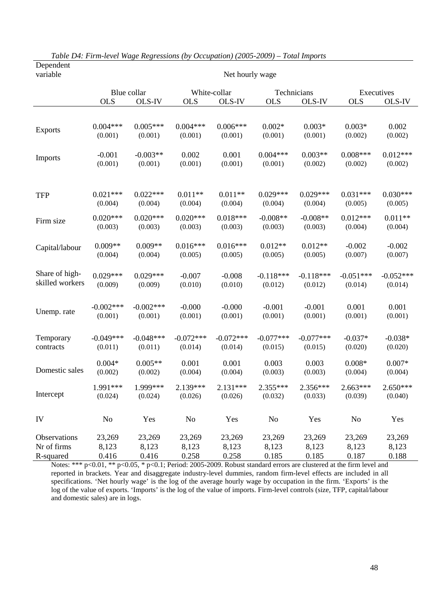| variable        | Net hourly wage |             |             |              |             |             |             |             |
|-----------------|-----------------|-------------|-------------|--------------|-------------|-------------|-------------|-------------|
|                 |                 | Blue collar |             | White-collar |             | Technicians |             | Executives  |
|                 | <b>OLS</b>      | OLS-IV      | <b>OLS</b>  | OLS-IV       | <b>OLS</b>  | OLS-IV      | <b>OLS</b>  | OLS-IV      |
|                 |                 |             |             |              |             |             |             |             |
| <b>Exports</b>  | $0.004***$      | $0.005***$  | $0.004***$  | $0.006***$   | $0.002*$    | $0.003*$    | $0.003*$    | 0.002       |
|                 | (0.001)         | (0.001)     | (0.001)     | (0.001)      | (0.001)     | (0.001)     | (0.002)     | (0.002)     |
| Imports         | $-0.001$        | $-0.003**$  | 0.002       | 0.001        | $0.004***$  | $0.003**$   | $0.008***$  | $0.012***$  |
|                 | (0.001)         | (0.001)     | (0.001)     | (0.001)      | (0.001)     | (0.002)     | (0.002)     | (0.002)     |
| <b>TFP</b>      | $0.021***$      | $0.022***$  | $0.011**$   | $0.011**$    | $0.029***$  | $0.029***$  | $0.031***$  | $0.030***$  |
|                 | (0.004)         | (0.004)     | (0.004)     | (0.004)      | (0.004)     | (0.004)     | (0.005)     | (0.005)     |
| Firm size       | $0.020***$      | $0.020***$  | $0.020***$  | $0.018***$   | $-0.008**$  | $-0.008**$  | $0.012***$  | $0.011**$   |
|                 | (0.003)         | (0.003)     | (0.003)     | (0.003)      | (0.003)     | (0.003)     | (0.004)     | (0.004)     |
| Capital/labour  | $0.009**$       | $0.009**$   | $0.016***$  | $0.016***$   | $0.012**$   | $0.012**$   | $-0.002$    | $-0.002$    |
|                 | (0.004)         | (0.004)     | (0.005)     | (0.005)      | (0.005)     | (0.005)     | (0.007)     | (0.007)     |
| Share of high-  | $0.029***$      | $0.029***$  | $-0.007$    | $-0.008$     | $-0.118***$ | $-0.118***$ | $-0.051***$ | $-0.052***$ |
| skilled workers | (0.009)         | (0.009)     | (0.010)     | (0.010)      | (0.012)     | (0.012)     | (0.014)     | (0.014)     |
| Unemp. rate     | $-0.002***$     | $-0.002***$ | $-0.000$    | $-0.000$     | $-0.001$    | $-0.001$    | 0.001       | 0.001       |
|                 | (0.001)         | (0.001)     | (0.001)     | (0.001)      | (0.001)     | (0.001)     | (0.001)     | (0.001)     |
| Temporary       | $-0.049***$     | $-0.048***$ | $-0.072***$ | $-0.072***$  | $-0.077***$ | $-0.077***$ | $-0.037*$   | $-0.038*$   |
| contracts       | (0.011)         | (0.011)     | (0.014)     | (0.014)      | (0.015)     | (0.015)     | (0.020)     | (0.020)     |
| Domestic sales  | $0.004*$        | $0.005**$   | 0.001       | 0.001        | 0.003       | 0.003       | $0.008*$    | $0.007*$    |
|                 | (0.002)         | (0.002)     | (0.004)     | (0.004)      | (0.003)     | (0.003)     | (0.004)     | (0.004)     |
| Intercept       | 1.991***        | 1.999***    | 2.139***    | $2.131***$   | $2.355***$  | 2.356***    | $2.663***$  | $2.650***$  |
|                 | (0.024)         | (0.024)     | (0.026)     | (0.026)      | (0.032)     | (0.033)     | (0.039)     | (0.040)     |
| IV              | No              | Yes         | $\rm No$    | Yes          | No          | Yes         | No          | Yes         |
| Observations    | 23,269          | 23,269      | 23,269      | 23,269       | 23,269      | 23,269      | 23,269      | 23,269      |
| Nr of firms     | 8,123           | 8,123       | 8,123       | 8,123        | 8,123       | 8,123       | 8,123       | 8,123       |
| R-squared       | 0.416           | 0.416       | 0.258       | 0.258        | 0.185       | 0.185       | 0.187       | 0.188       |

*Table D4: Firm-level Wage Regressions (by Occupation) (2005-2009) – Total Imports*  Dependent

Notes: \*\*\* p<0.01, \*\* p<0.05, \* p<0.1; Period: 2005-2009. Robust standard errors are clustered at the firm level and reported in brackets. Year and disaggregate industry-level dummies, random firm-level effects are included in all specifications. 'Net hourly wage' is the log of the average hourly wage by occupation in the firm. 'Exports' is the log of the value of exports. 'Imports' is the log of the value of imports. Firm-level controls (size, TFP, capital/labour and domestic sales) are in logs.

l,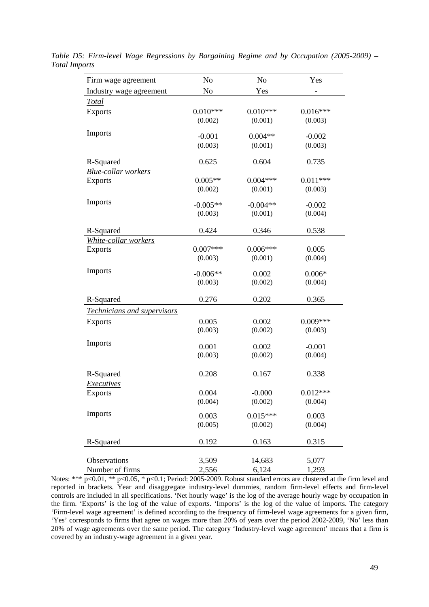| Firm wage agreement         | No         | N <sub>o</sub> | Yes                 |
|-----------------------------|------------|----------------|---------------------|
| Industry wage agreement     | No         | Yes            |                     |
| <b>Total</b>                |            |                |                     |
| <b>Exports</b>              | $0.010***$ | $0.010***$     | $0.016***$          |
|                             | (0.002)    | (0.001)        | (0.003)             |
| Imports                     | $-0.001$   | $0.004**$      |                     |
|                             |            |                | $-0.002$            |
|                             | (0.003)    | (0.001)        | (0.003)             |
| R-Squared                   | 0.625      | 0.604          | 0.735               |
| <b>Blue-collar workers</b>  |            |                |                     |
| <b>Exports</b>              | $0.005**$  | $0.004***$     | $0.011***$          |
|                             | (0.002)    | (0.001)        | (0.003)             |
| Imports                     | $-0.005**$ |                |                     |
|                             |            | $-0.004**$     | $-0.002$<br>(0.004) |
|                             | (0.003)    | (0.001)        |                     |
| R-Squared                   | 0.424      | 0.346          | 0.538               |
| White-collar workers        |            |                |                     |
| <b>Exports</b>              | $0.007***$ | $0.006***$     | 0.005               |
|                             | (0.003)    | (0.001)        | (0.004)             |
| Imports                     |            |                |                     |
|                             | $-0.006**$ | 0.002          | $0.006*$            |
|                             | (0.003)    | (0.002)        | (0.004)             |
| R-Squared                   | 0.276      | 0.202          | 0.365               |
| Technicians and supervisors |            |                |                     |
| <b>Exports</b>              | 0.005      | 0.002          | $0.009***$          |
|                             | (0.003)    | (0.002)        | (0.003)             |
|                             |            |                |                     |
| Imports                     | 0.001      | 0.002          | $-0.001$            |
|                             | (0.003)    | (0.002)        | (0.004)             |
|                             |            |                |                     |
| R-Squared                   | 0.208      | 0.167          | 0.338               |
| <b>Executives</b>           |            |                |                     |
| <b>Exports</b>              | 0.004      | $-0.000$       | $0.012***$          |
|                             | (0.004)    | (0.002)        | (0.004)             |
| Imports                     | 0.003      | $0.015***$     | 0.003               |
|                             | (0.005)    | (0.002)        | (0.004)             |
|                             |            |                |                     |
| R-Squared                   | 0.192      | 0.163          | 0.315               |
|                             |            |                |                     |
| Observations                | 3,509      | 14,683         | 5,077               |
| Number of firms             | 2,556      | 6,124          | 1,293               |

*Table D5: Firm-level Wage Regressions by Bargaining Regime and by Occupation (2005-2009) – Total Imports* 

Notes: \*\*\*  $p<0.01$ , \*\*  $p<0.05$ , \*  $p<0.1$ ; Period: 2005-2009. Robust standard errors are clustered at the firm level and reported in brackets. Year and disaggregate industry-level dummies, random firm-level effects and firm-level controls are included in all specifications. 'Net hourly wage' is the log of the average hourly wage by occupation in the firm. 'Exports' is the log of the value of exports. 'Imports' is the log of the value of imports. The category 'Firm-level wage agreement' is defined according to the frequency of firm-level wage agreements for a given firm, 'Yes' corresponds to firms that agree on wages more than 20% of years over the period 2002-2009, 'No' less than 20% of wage agreements over the same period. The category 'Industry-level wage agreement' means that a firm is covered by an industry-wage agreement in a given year.